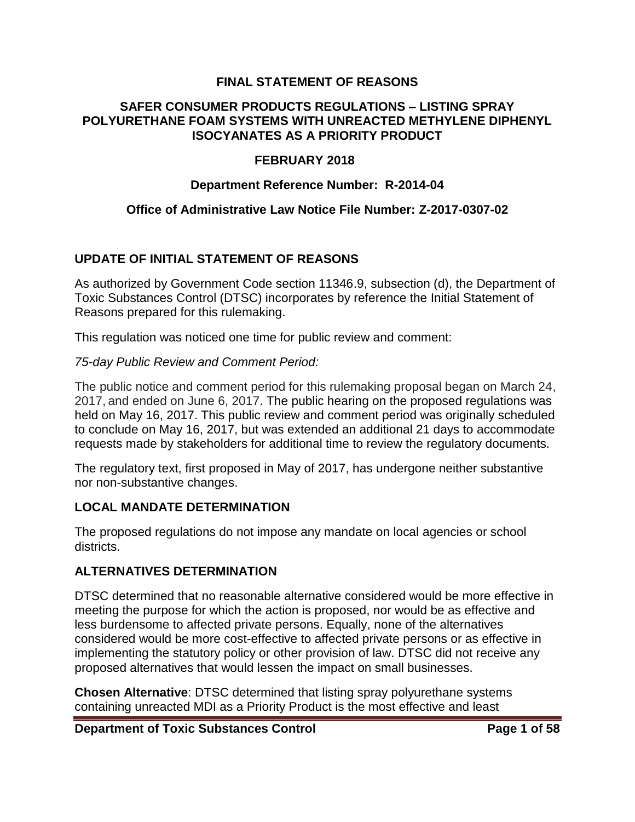### **FINAL STATEMENT OF REASONS**

#### **SAFER CONSUMER PRODUCTS REGULATIONS – LISTING SPRAY POLYURETHANE FOAM SYSTEMS WITH UNREACTED METHYLENE DIPHENYL ISOCYANATES AS A PRIORITY PRODUCT**

### **FEBRUARY 2018**

#### **Department Reference Number: R-2014-04**

### **Office of Administrative Law Notice File Number: Z-2017-0307-02**

### **UPDATE OF INITIAL STATEMENT OF REASONS**

As authorized by Government Code section 11346.9, subsection (d), the Department of Toxic Substances Control (DTSC) incorporates by reference the Initial Statement of Reasons prepared for this rulemaking.

This regulation was noticed one time for public review and comment:

#### *75-day Public Review and Comment Period:*

The public notice and comment period for this rulemaking proposal began on March 24, 2017, and ended on June 6, 2017. The public hearing on the proposed regulations was held on May 16, 2017. This public review and comment period was originally scheduled to conclude on May 16, 2017, but was extended an additional 21 days to accommodate requests made by stakeholders for additional time to review the regulatory documents.

The regulatory text, first proposed in May of 2017, has undergone neither substantive nor non-substantive changes.

### **LOCAL MANDATE DETERMINATION**

The proposed regulations do not impose any mandate on local agencies or school districts.

### **ALTERNATIVES DETERMINATION**

DTSC determined that no reasonable alternative considered would be more effective in meeting the purpose for which the action is proposed, nor would be as effective and less burdensome to affected private persons. Equally, none of the alternatives considered would be more cost-effective to affected private persons or as effective in implementing the statutory policy or other provision of law. DTSC did not receive any proposed alternatives that would lessen the impact on small businesses.

**Chosen Alternative**: DTSC determined that listing spray polyurethane systems containing unreacted MDI as a Priority Product is the most effective and least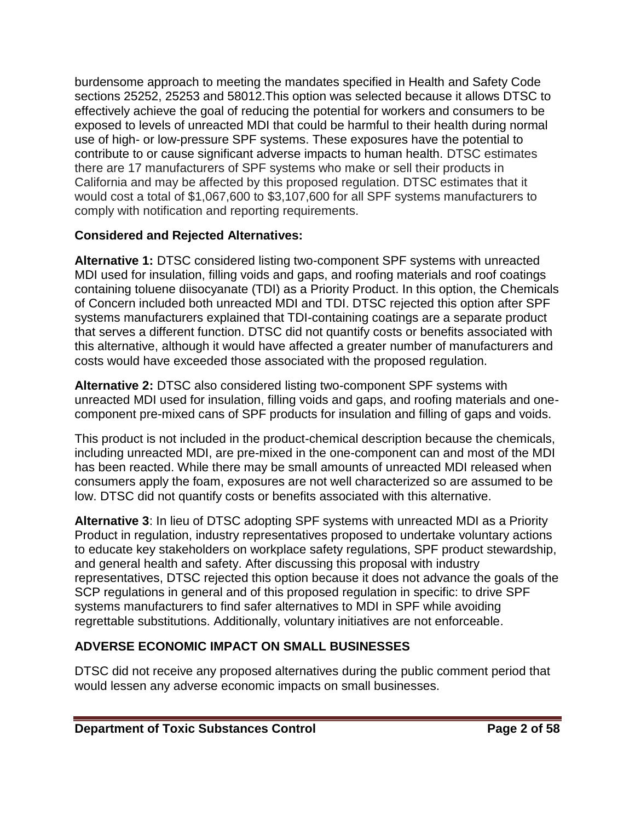burdensome approach to meeting the mandates specified in Health and Safety Code sections 25252, 25253 and 58012.This option was selected because it allows DTSC to effectively achieve the goal of reducing the potential for workers and consumers to be exposed to levels of unreacted MDI that could be harmful to their health during normal use of high- or low-pressure SPF systems. These exposures have the potential to contribute to or cause significant adverse impacts to human health. DTSC estimates there are 17 manufacturers of SPF systems who make or sell their products in California and may be affected by this proposed regulation. DTSC estimates that it would cost a total of \$1,067,600 to \$3,107,600 for all SPF systems manufacturers to comply with notification and reporting requirements.

# **Considered and Rejected Alternatives:**

**Alternative 1:** DTSC considered listing two-component SPF systems with unreacted MDI used for insulation, filling voids and gaps, and roofing materials and roof coatings containing toluene diisocyanate (TDI) as a Priority Product. In this option, the Chemicals of Concern included both unreacted MDI and TDI. DTSC rejected this option after SPF systems manufacturers explained that TDI-containing coatings are a separate product that serves a different function. DTSC did not quantify costs or benefits associated with this alternative, although it would have affected a greater number of manufacturers and costs would have exceeded those associated with the proposed regulation.

**Alternative 2:** DTSC also considered listing two-component SPF systems with unreacted MDI used for insulation, filling voids and gaps, and roofing materials and onecomponent pre-mixed cans of SPF products for insulation and filling of gaps and voids.

This product is not included in the product-chemical description because the chemicals, including unreacted MDI, are pre-mixed in the one-component can and most of the MDI has been reacted. While there may be small amounts of unreacted MDI released when consumers apply the foam, exposures are not well characterized so are assumed to be low. DTSC did not quantify costs or benefits associated with this alternative.

**Alternative 3**: In lieu of DTSC adopting SPF systems with unreacted MDI as a Priority Product in regulation, industry representatives proposed to undertake voluntary actions to educate key stakeholders on workplace safety regulations, SPF product stewardship, and general health and safety. After discussing this proposal with industry representatives, DTSC rejected this option because it does not advance the goals of the SCP regulations in general and of this proposed regulation in specific: to drive SPF systems manufacturers to find safer alternatives to MDI in SPF while avoiding regrettable substitutions. Additionally, voluntary initiatives are not enforceable.

# **ADVERSE ECONOMIC IMPACT ON SMALL BUSINESSES**

DTSC did not receive any proposed alternatives during the public comment period that would lessen any adverse economic impacts on small businesses.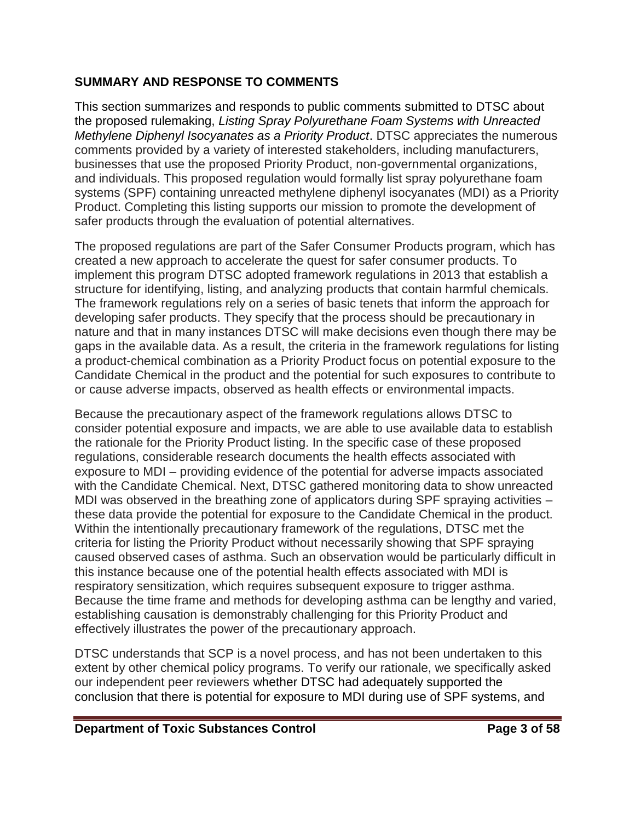## **SUMMARY AND RESPONSE TO COMMENTS**

This section summarizes and responds to public comments submitted to DTSC about the proposed rulemaking, *Listing Spray Polyurethane Foam Systems with Unreacted Methylene Diphenyl Isocyanates as a Priority Product*. DTSC appreciates the numerous comments provided by a variety of interested stakeholders, including manufacturers, businesses that use the proposed Priority Product, non-governmental organizations, and individuals. This proposed regulation would formally list spray polyurethane foam systems (SPF) containing unreacted methylene diphenyl isocyanates (MDI) as a Priority Product. Completing this listing supports our mission to promote the development of safer products through the evaluation of potential alternatives.

The proposed regulations are part of the Safer Consumer Products program, which has created a new approach to accelerate the quest for safer consumer products. To implement this program DTSC adopted framework regulations in 2013 that establish a structure for identifying, listing, and analyzing products that contain harmful chemicals. The framework regulations rely on a series of basic tenets that inform the approach for developing safer products. They specify that the process should be precautionary in nature and that in many instances DTSC will make decisions even though there may be gaps in the available data. As a result, the criteria in the framework regulations for listing a product-chemical combination as a Priority Product focus on potential exposure to the Candidate Chemical in the product and the potential for such exposures to contribute to or cause adverse impacts, observed as health effects or environmental impacts.

Because the precautionary aspect of the framework regulations allows DTSC to consider potential exposure and impacts, we are able to use available data to establish the rationale for the Priority Product listing. In the specific case of these proposed regulations, considerable research documents the health effects associated with exposure to MDI – providing evidence of the potential for adverse impacts associated with the Candidate Chemical. Next, DTSC gathered monitoring data to show unreacted MDI was observed in the breathing zone of applicators during SPF spraying activities – these data provide the potential for exposure to the Candidate Chemical in the product. Within the intentionally precautionary framework of the regulations, DTSC met the criteria for listing the Priority Product without necessarily showing that SPF spraying caused observed cases of asthma. Such an observation would be particularly difficult in this instance because one of the potential health effects associated with MDI is respiratory sensitization, which requires subsequent exposure to trigger asthma. Because the time frame and methods for developing asthma can be lengthy and varied, establishing causation is demonstrably challenging for this Priority Product and effectively illustrates the power of the precautionary approach.

DTSC understands that SCP is a novel process, and has not been undertaken to this extent by other chemical policy programs. To verify our rationale, we specifically asked our independent peer reviewers whether DTSC had adequately supported the conclusion that there is potential for exposure to MDI during use of SPF systems, and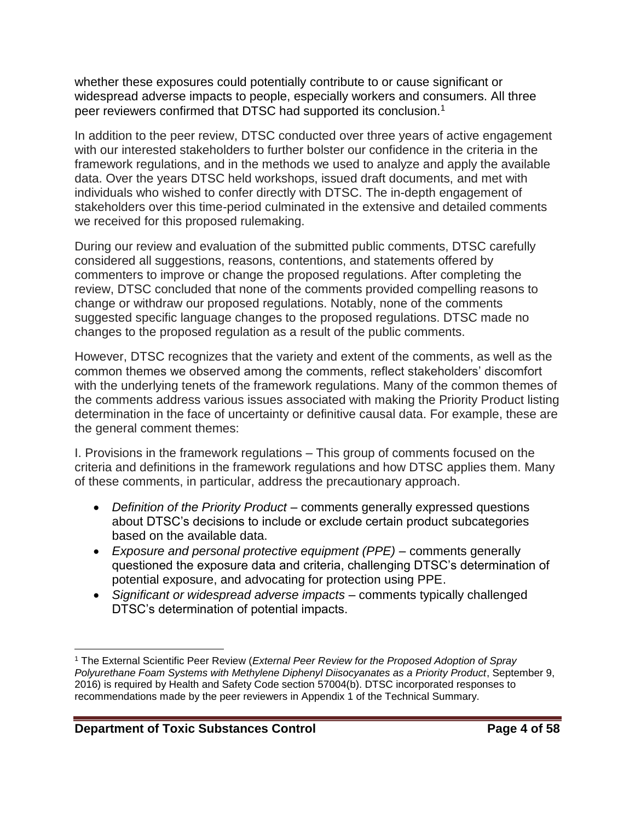whether these exposures could potentially contribute to or cause significant or widespread adverse impacts to people, especially workers and consumers. All three peer reviewers confirmed that DTSC had supported its conclusion.<sup>1</sup>

In addition to the peer review, DTSC conducted over three years of active engagement with our interested stakeholders to further bolster our confidence in the criteria in the framework regulations, and in the methods we used to analyze and apply the available data. Over the years DTSC held workshops, issued draft documents, and met with individuals who wished to confer directly with DTSC. The in-depth engagement of stakeholders over this time-period culminated in the extensive and detailed comments we received for this proposed rulemaking.

During our review and evaluation of the submitted public comments, DTSC carefully considered all suggestions, reasons, contentions, and statements offered by commenters to improve or change the proposed regulations. After completing the review, DTSC concluded that none of the comments provided compelling reasons to change or withdraw our proposed regulations. Notably, none of the comments suggested specific language changes to the proposed regulations. DTSC made no changes to the proposed regulation as a result of the public comments.

However, DTSC recognizes that the variety and extent of the comments, as well as the common themes we observed among the comments, reflect stakeholders' discomfort with the underlying tenets of the framework regulations. Many of the common themes of the comments address various issues associated with making the Priority Product listing determination in the face of uncertainty or definitive causal data. For example, these are the general comment themes:

I. Provisions in the framework regulations – This group of comments focused on the criteria and definitions in the framework regulations and how DTSC applies them. Many of these comments, in particular, address the precautionary approach.

- *Definition of the Priority Product* comments generally expressed questions about DTSC's decisions to include or exclude certain product subcategories based on the available data.
- *Exposure and personal protective equipment (PPE)* comments generally questioned the exposure data and criteria, challenging DTSC's determination of potential exposure, and advocating for protection using PPE.
- *Significant or widespread adverse impacts* comments typically challenged DTSC's determination of potential impacts.

 $\overline{\phantom{a}}$ 

<sup>1</sup> The External Scientific Peer Review (*External Peer Review for the Proposed Adoption of Spray Polyurethane Foam Systems with Methylene Diphenyl Diisocyanates as a Priority Product*, September 9, 2016) is required by Health and Safety Code section 57004(b). DTSC incorporated responses to recommendations made by the peer reviewers in Appendix 1 of the Technical Summary.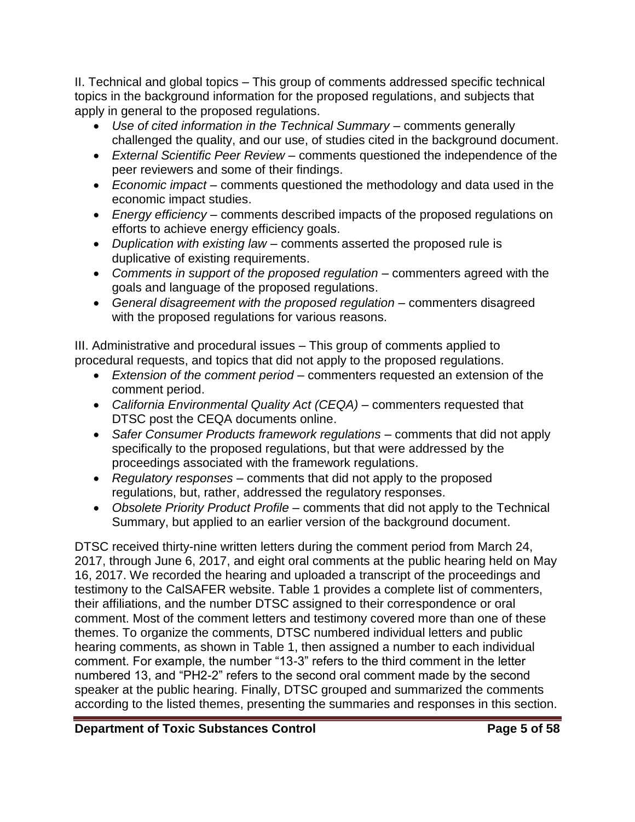II. Technical and global topics – This group of comments addressed specific technical topics in the background information for the proposed regulations, and subjects that apply in general to the proposed regulations.

- *Use of cited information in the Technical Summary* comments generally challenged the quality, and our use, of studies cited in the background document.
- *External Scientific Peer Review* comments questioned the independence of the peer reviewers and some of their findings.
- *Economic impact* comments questioned the methodology and data used in the economic impact studies.
- *Energy efficiency* comments described impacts of the proposed regulations on efforts to achieve energy efficiency goals.
- *Duplication with existing law* comments asserted the proposed rule is duplicative of existing requirements.
- *Comments in support of the proposed regulation* commenters agreed with the goals and language of the proposed regulations.
- *General disagreement with the proposed regulation* commenters disagreed with the proposed regulations for various reasons.

III. Administrative and procedural issues – This group of comments applied to procedural requests, and topics that did not apply to the proposed regulations.

- *Extension of the comment period* commenters requested an extension of the comment period.
- *California Environmental Quality Act (CEQA)* commenters requested that DTSC post the CEQA documents online.
- *Safer Consumer Products framework regulations* comments that did not apply specifically to the proposed regulations, but that were addressed by the proceedings associated with the framework regulations.
- *Regulatory responses* comments that did not apply to the proposed regulations, but, rather, addressed the regulatory responses.
- *Obsolete Priority Product Profile* comments that did not apply to the Technical Summary, but applied to an earlier version of the background document.

DTSC received thirty-nine written letters during the comment period from March 24, 2017, through June 6, 2017, and eight oral comments at the public hearing held on May 16, 2017. We recorded the hearing and uploaded a transcript of the proceedings and testimony to the CalSAFER website. Table 1 provides a complete list of commenters, their affiliations, and the number DTSC assigned to their correspondence or oral comment. Most of the comment letters and testimony covered more than one of these themes. To organize the comments, DTSC numbered individual letters and public hearing comments, as shown in Table 1, then assigned a number to each individual comment. For example, the number "13-3" refers to the third comment in the letter numbered 13, and "PH2-2" refers to the second oral comment made by the second speaker at the public hearing. Finally, DTSC grouped and summarized the comments according to the listed themes, presenting the summaries and responses in this section.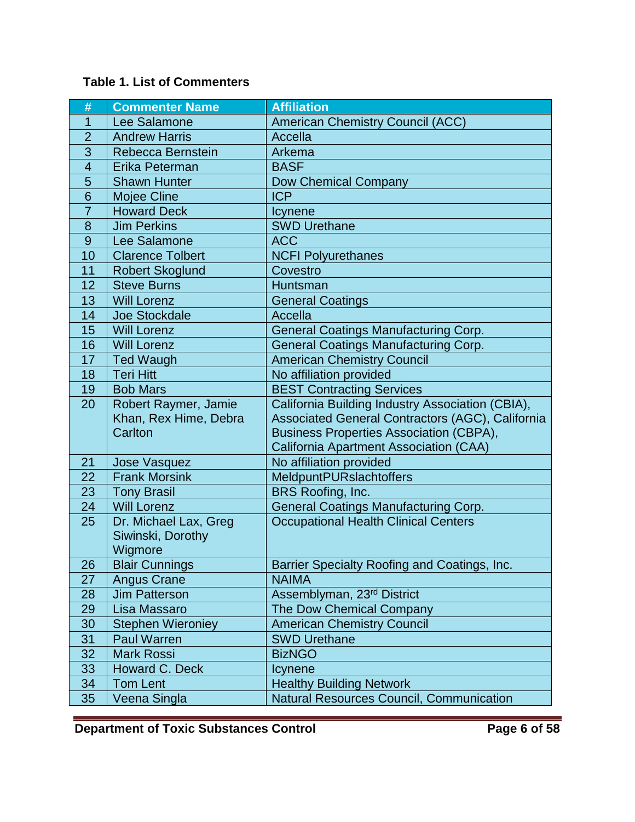# **Table 1. List of Commenters**

| #              | <b>Commenter Name</b>    | <b>Affiliation</b>                               |
|----------------|--------------------------|--------------------------------------------------|
| 1              | Lee Salamone             | <b>American Chemistry Council (ACC)</b>          |
| $\overline{2}$ | <b>Andrew Harris</b>     | Accella                                          |
| $\overline{3}$ | Rebecca Bernstein        | Arkema                                           |
| $\overline{4}$ | Erika Peterman           | <b>BASF</b>                                      |
| 5              | <b>Shawn Hunter</b>      | Dow Chemical Company                             |
| 6              | Mojee Cline              | <b>ICP</b>                                       |
| $\overline{7}$ | <b>Howard Deck</b>       | Icynene                                          |
| 8              | <b>Jim Perkins</b>       | <b>SWD Urethane</b>                              |
| 9              | Lee Salamone             | <b>ACC</b>                                       |
| 10             | <b>Clarence Tolbert</b>  | <b>NCFI Polyurethanes</b>                        |
| 11             | <b>Robert Skoglund</b>   | Covestro                                         |
| 12             | <b>Steve Burns</b>       | Huntsman                                         |
| 13             | <b>Will Lorenz</b>       | <b>General Coatings</b>                          |
| 14             | <b>Joe Stockdale</b>     | <b>Accella</b>                                   |
| 15             | <b>Will Lorenz</b>       | <b>General Coatings Manufacturing Corp.</b>      |
| 16             | <b>Will Lorenz</b>       | <b>General Coatings Manufacturing Corp.</b>      |
| 17             | <b>Ted Waugh</b>         | <b>American Chemistry Council</b>                |
| 18             | <b>Teri Hitt</b>         | No affiliation provided                          |
| 19             | <b>Bob Mars</b>          | <b>BEST Contracting Services</b>                 |
| 20             | Robert Raymer, Jamie     | California Building Industry Association (CBIA), |
|                | Khan, Rex Hime, Debra    | Associated General Contractors (AGC), California |
|                | Carlton                  | <b>Business Properties Association (CBPA),</b>   |
|                |                          | <b>California Apartment Association (CAA)</b>    |
| 21             | Jose Vasquez             | No affiliation provided                          |
| 22             | <b>Frank Morsink</b>     | MeldpuntPURslachtoffers                          |
| 23             | <b>Tony Brasil</b>       | BRS Roofing, Inc.                                |
| 24             | <b>Will Lorenz</b>       | <b>General Coatings Manufacturing Corp.</b>      |
| 25             | Dr. Michael Lax, Greg    | <b>Occupational Health Clinical Centers</b>      |
|                | Siwinski, Dorothy        |                                                  |
|                | Wigmore                  |                                                  |
| 26             | <b>Blair Cunnings</b>    | Barrier Specialty Roofing and Coatings, Inc.     |
| 27             | <b>Angus Crane</b>       | <b>NAIMA</b>                                     |
| 28             | <b>Jim Patterson</b>     | Assemblyman, 23rd District                       |
| 29             | Lisa Massaro             | <b>The Dow Chemical Company</b>                  |
| 30             | <b>Stephen Wieroniey</b> | <b>American Chemistry Council</b>                |
| 31             | <b>Paul Warren</b>       | <b>SWD Urethane</b>                              |
| 32             | <b>Mark Rossi</b>        | <b>BizNGO</b>                                    |
| 33             | Howard C. Deck           | Icynene                                          |
| 34             | <b>Tom Lent</b>          | <b>Healthy Building Network</b>                  |
| 35             | Veena Singla             | <b>Natural Resources Council, Communication</b>  |

**Department of Toxic Substances Control <b>Page 6 Page 6 of 58**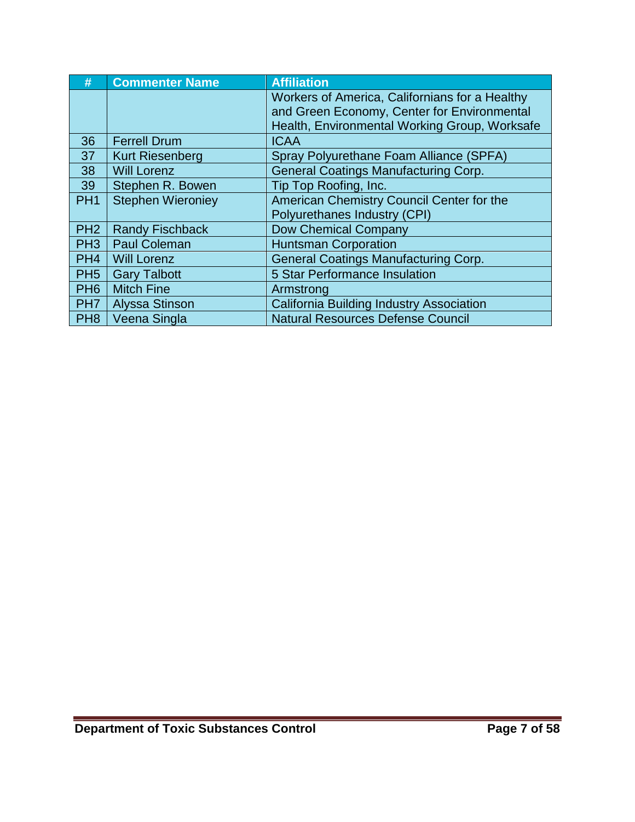| #               | <b>Commenter Name</b>    | <b>Affiliation</b>                                                                                                                             |
|-----------------|--------------------------|------------------------------------------------------------------------------------------------------------------------------------------------|
|                 |                          | Workers of America, Californians for a Healthy<br>and Green Economy, Center for Environmental<br>Health, Environmental Working Group, Worksafe |
| 36              | <b>Ferrell Drum</b>      | <b>ICAA</b>                                                                                                                                    |
| 37              | <b>Kurt Riesenberg</b>   | Spray Polyurethane Foam Alliance (SPFA)                                                                                                        |
| 38              | <b>Will Lorenz</b>       | <b>General Coatings Manufacturing Corp.</b>                                                                                                    |
| 39              | Stephen R. Bowen         | Tip Top Roofing, Inc.                                                                                                                          |
| PH <sub>1</sub> | <b>Stephen Wieroniey</b> | American Chemistry Council Center for the                                                                                                      |
|                 |                          | Polyurethanes Industry (CPI)                                                                                                                   |
| PH <sub>2</sub> | <b>Randy Fischback</b>   | <b>Dow Chemical Company</b>                                                                                                                    |
| PH <sub>3</sub> | <b>Paul Coleman</b>      | <b>Huntsman Corporation</b>                                                                                                                    |
| PH <sub>4</sub> | <b>Will Lorenz</b>       | <b>General Coatings Manufacturing Corp.</b>                                                                                                    |
| PH <sub>5</sub> | <b>Gary Talbott</b>      | <b>5 Star Performance Insulation</b>                                                                                                           |
| PH <sub>6</sub> | <b>Mitch Fine</b>        | Armstrong                                                                                                                                      |
| PH <sub>7</sub> | <b>Alyssa Stinson</b>    | California Building Industry Association                                                                                                       |
| PH <sub>8</sub> | Veena Singla             | <b>Natural Resources Defense Council</b>                                                                                                       |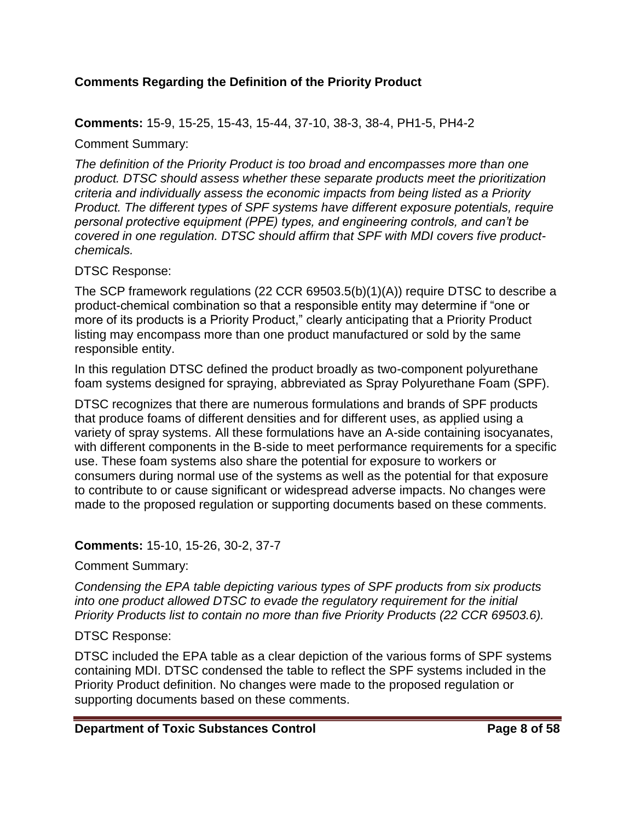## **Comments Regarding the Definition of the Priority Product**

### **Comments:** 15-9, 15-25, 15-43, 15-44, 37-10, 38-3, 38-4, PH1-5, PH4-2

Comment Summary:

*The definition of the Priority Product is too broad and encompasses more than one product. DTSC should assess whether these separate products meet the prioritization criteria and individually assess the economic impacts from being listed as a Priority Product. The different types of SPF systems have different exposure potentials, require personal protective equipment (PPE) types, and engineering controls, and can't be covered in one regulation. DTSC should affirm that SPF with MDI covers five productchemicals.* 

### DTSC Response:

The SCP framework regulations (22 CCR 69503.5(b)(1)(A)) require DTSC to describe a product-chemical combination so that a responsible entity may determine if "one or more of its products is a Priority Product," clearly anticipating that a Priority Product listing may encompass more than one product manufactured or sold by the same responsible entity.

In this regulation DTSC defined the product broadly as two-component polyurethane foam systems designed for spraying, abbreviated as Spray Polyurethane Foam (SPF).

DTSC recognizes that there are numerous formulations and brands of SPF products that produce foams of different densities and for different uses, as applied using a variety of spray systems. All these formulations have an A-side containing isocyanates, with different components in the B-side to meet performance requirements for a specific use. These foam systems also share the potential for exposure to workers or consumers during normal use of the systems as well as the potential for that exposure to contribute to or cause significant or widespread adverse impacts. No changes were made to the proposed regulation or supporting documents based on these comments.

### **Comments:** 15-10, 15-26, 30-2, 37-7

Comment Summary:

*Condensing the EPA table depicting various types of SPF products from six products into one product allowed DTSC to evade the regulatory requirement for the initial Priority Products list to contain no more than five Priority Products (22 CCR 69503.6).* 

### DTSC Response:

DTSC included the EPA table as a clear depiction of the various forms of SPF systems containing MDI. DTSC condensed the table to reflect the SPF systems included in the Priority Product definition. No changes were made to the proposed regulation or supporting documents based on these comments.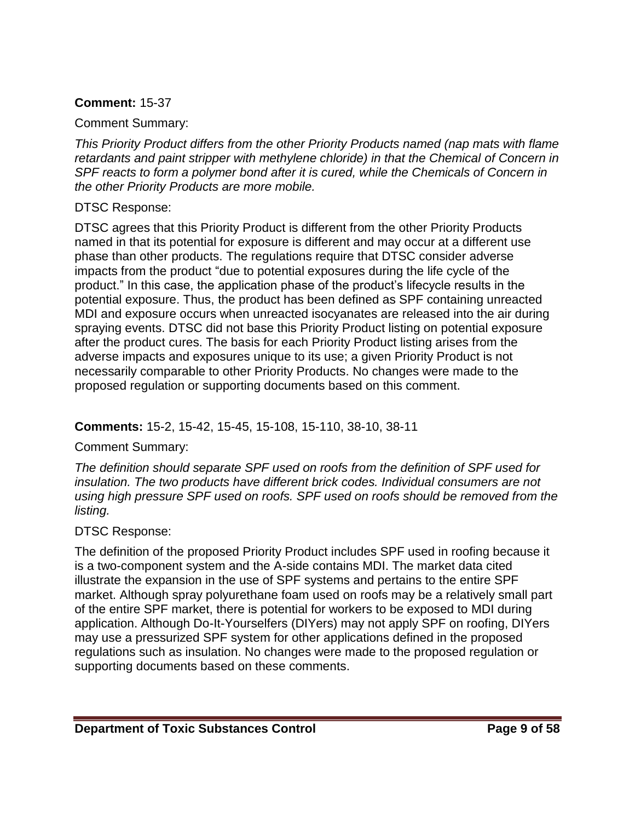### **Comment:** 15-37

### Comment Summary:

*This Priority Product differs from the other Priority Products named (nap mats with flame retardants and paint stripper with methylene chloride) in that the Chemical of Concern in SPF reacts to form a polymer bond after it is cured, while the Chemicals of Concern in the other Priority Products are more mobile.* 

### DTSC Response:

DTSC agrees that this Priority Product is different from the other Priority Products named in that its potential for exposure is different and may occur at a different use phase than other products. The regulations require that DTSC consider adverse impacts from the product "due to potential exposures during the life cycle of the product." In this case, the application phase of the product's lifecycle results in the potential exposure. Thus, the product has been defined as SPF containing unreacted MDI and exposure occurs when unreacted isocyanates are released into the air during spraying events. DTSC did not base this Priority Product listing on potential exposure after the product cures. The basis for each Priority Product listing arises from the adverse impacts and exposures unique to its use; a given Priority Product is not necessarily comparable to other Priority Products. No changes were made to the proposed regulation or supporting documents based on this comment.

# **Comments:** 15-2, 15-42, 15-45, 15-108, 15-110, 38-10, 38-11

# Comment Summary:

*The definition should separate SPF used on roofs from the definition of SPF used for insulation. The two products have different brick codes. Individual consumers are not using high pressure SPF used on roofs. SPF used on roofs should be removed from the listing.* 

# DTSC Response:

The definition of the proposed Priority Product includes SPF used in roofing because it is a two-component system and the A-side contains MDI. The market data cited illustrate the expansion in the use of SPF systems and pertains to the entire SPF market. Although spray polyurethane foam used on roofs may be a relatively small part of the entire SPF market, there is potential for workers to be exposed to MDI during application. Although Do-It-Yourselfers (DIYers) may not apply SPF on roofing, DIYers may use a pressurized SPF system for other applications defined in the proposed regulations such as insulation. No changes were made to the proposed regulation or supporting documents based on these comments.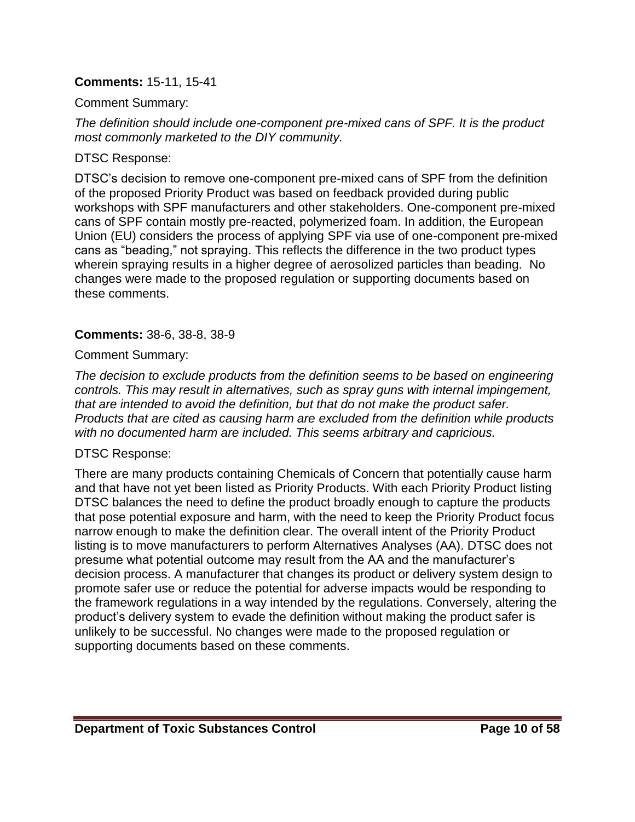### **Comments:** 15-11, 15-41

Comment Summary:

*The definition should include one-component pre-mixed cans of SPF. It is the product most commonly marketed to the DIY community.* 

### DTSC Response:

DTSC's decision to remove one-component pre-mixed cans of SPF from the definition of the proposed Priority Product was based on feedback provided during public workshops with SPF manufacturers and other stakeholders. One-component pre-mixed cans of SPF contain mostly pre-reacted, polymerized foam. In addition, the European Union (EU) considers the process of applying SPF via use of one-component pre-mixed cans as "beading," not spraying. This reflects the difference in the two product types wherein spraying results in a higher degree of aerosolized particles than beading. No changes were made to the proposed regulation or supporting documents based on these comments.

### **Comments:** 38-6, 38-8, 38-9

### Comment Summary:

*The decision to exclude products from the definition seems to be based on engineering controls. This may result in alternatives, such as spray guns with internal impingement, that are intended to avoid the definition, but that do not make the product safer. Products that are cited as causing harm are excluded from the definition while products with no documented harm are included. This seems arbitrary and capricious.* 

#### DTSC Response:

There are many products containing Chemicals of Concern that potentially cause harm and that have not yet been listed as Priority Products. With each Priority Product listing DTSC balances the need to define the product broadly enough to capture the products that pose potential exposure and harm, with the need to keep the Priority Product focus narrow enough to make the definition clear. The overall intent of the Priority Product listing is to move manufacturers to perform Alternatives Analyses (AA). DTSC does not presume what potential outcome may result from the AA and the manufacturer's decision process. A manufacturer that changes its product or delivery system design to promote safer use or reduce the potential for adverse impacts would be responding to the framework regulations in a way intended by the regulations. Conversely, altering the product's delivery system to evade the definition without making the product safer is unlikely to be successful. No changes were made to the proposed regulation or supporting documents based on these comments.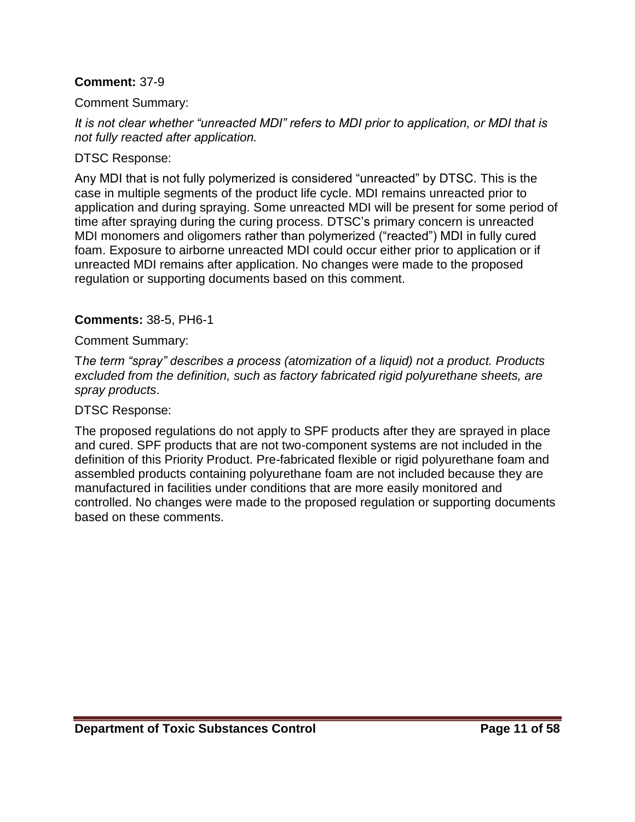### **Comment:** 37-9

Comment Summary:

*It is not clear whether "unreacted MDI" refers to MDI prior to application, or MDI that is not fully reacted after application.* 

### DTSC Response:

Any MDI that is not fully polymerized is considered "unreacted" by DTSC. This is the case in multiple segments of the product life cycle. MDI remains unreacted prior to application and during spraying. Some unreacted MDI will be present for some period of time after spraying during the curing process. DTSC's primary concern is unreacted MDI monomers and oligomers rather than polymerized ("reacted") MDI in fully cured foam. Exposure to airborne unreacted MDI could occur either prior to application or if unreacted MDI remains after application. No changes were made to the proposed regulation or supporting documents based on this comment.

### **Comments:** 38-5, PH6-1

Comment Summary:

T*he term "spray" describes a process (atomization of a liquid) not a product. Products excluded from the definition, such as factory fabricated rigid polyurethane sheets, are spray products*.

#### DTSC Response:

The proposed regulations do not apply to SPF products after they are sprayed in place and cured. SPF products that are not two-component systems are not included in the definition of this Priority Product. Pre-fabricated flexible or rigid polyurethane foam and assembled products containing polyurethane foam are not included because they are manufactured in facilities under conditions that are more easily monitored and controlled. No changes were made to the proposed regulation or supporting documents based on these comments.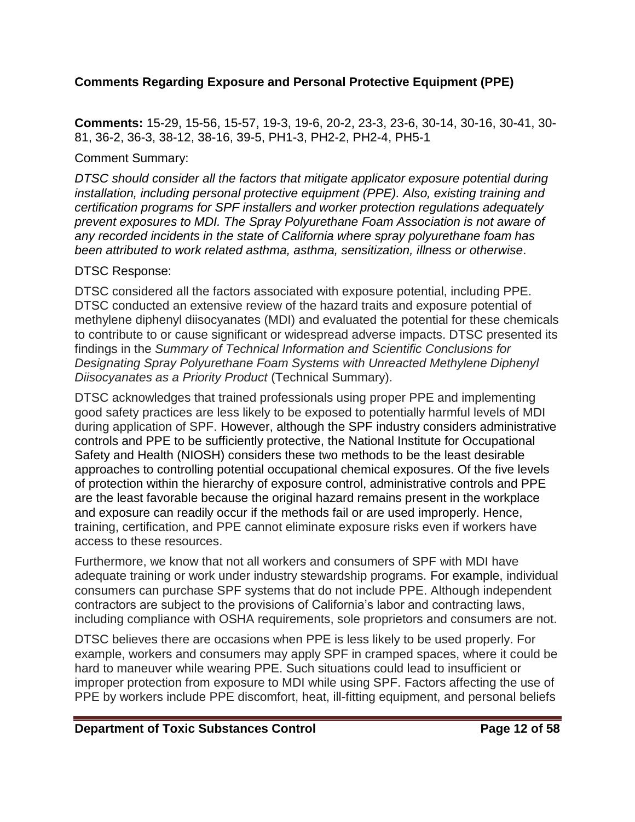## **Comments Regarding Exposure and Personal Protective Equipment (PPE)**

**Comments:** 15-29, 15-56, 15-57, 19-3, 19-6, 20-2, 23-3, 23-6, 30-14, 30-16, 30-41, 30- 81, 36-2, 36-3, 38-12, 38-16, 39-5, PH1-3, PH2-2, PH2-4, PH5-1

### Comment Summary:

*DTSC should consider all the factors that mitigate applicator exposure potential during installation, including personal protective equipment (PPE). Also, existing training and certification programs for SPF installers and worker protection regulations adequately prevent exposures to MDI. The Spray Polyurethane Foam Association is not aware of any recorded incidents in the state of California where spray polyurethane foam has been attributed to work related asthma, asthma, sensitization, illness or otherwise*.

### DTSC Response:

DTSC considered all the factors associated with exposure potential, including PPE. DTSC conducted an extensive review of the hazard traits and exposure potential of methylene diphenyl diisocyanates (MDI) and evaluated the potential for these chemicals to contribute to or cause significant or widespread adverse impacts. DTSC presented its findings in the *Summary of Technical Information and Scientific Conclusions for Designating Spray Polyurethane Foam Systems with Unreacted Methylene Diphenyl Diisocyanates as a Priority Product* (Technical Summary).

DTSC acknowledges that trained professionals using proper PPE and implementing good safety practices are less likely to be exposed to potentially harmful levels of MDI during application of SPF. However, although the SPF industry considers administrative controls and PPE to be sufficiently protective, the National Institute for Occupational Safety and Health (NIOSH) considers these two methods to be the least desirable approaches to controlling potential occupational chemical exposures. Of the five levels of protection within the hierarchy of exposure control, administrative controls and PPE are the least favorable because the original hazard remains present in the workplace and exposure can readily occur if the methods fail or are used improperly. Hence, training, certification, and PPE cannot eliminate exposure risks even if workers have access to these resources.

Furthermore, we know that not all workers and consumers of SPF with MDI have adequate training or work under industry stewardship programs. For example, individual consumers can purchase SPF systems that do not include PPE. Although independent contractors are subject to the provisions of California's labor and contracting laws, including compliance with OSHA requirements, sole proprietors and consumers are not.

DTSC believes there are occasions when PPE is less likely to be used properly. For example, workers and consumers may apply SPF in cramped spaces, where it could be hard to maneuver while wearing PPE. Such situations could lead to insufficient or improper protection from exposure to MDI while using SPF. Factors affecting the use of PPE by workers include PPE discomfort, heat, ill-fitting equipment, and personal beliefs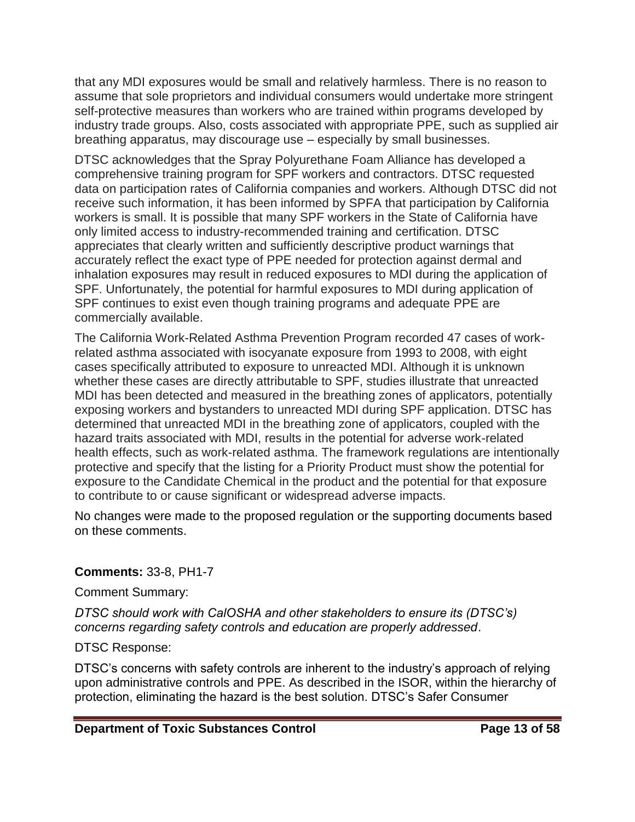that any MDI exposures would be small and relatively harmless. There is no reason to assume that sole proprietors and individual consumers would undertake more stringent self-protective measures than workers who are trained within programs developed by industry trade groups. Also, costs associated with appropriate PPE, such as supplied air breathing apparatus, may discourage use – especially by small businesses.

DTSC acknowledges that the Spray Polyurethane Foam Alliance has developed a comprehensive training program for SPF workers and contractors. DTSC requested data on participation rates of California companies and workers. Although DTSC did not receive such information, it has been informed by SPFA that participation by California workers is small. It is possible that many SPF workers in the State of California have only limited access to industry-recommended training and certification. DTSC appreciates that clearly written and sufficiently descriptive product warnings that accurately reflect the exact type of PPE needed for protection against dermal and inhalation exposures may result in reduced exposures to MDI during the application of SPF. Unfortunately, the potential for harmful exposures to MDI during application of SPF continues to exist even though training programs and adequate PPE are commercially available.

The California Work-Related Asthma Prevention Program recorded 47 cases of workrelated asthma associated with isocyanate exposure from 1993 to 2008, with eight cases specifically attributed to exposure to unreacted MDI. Although it is unknown whether these cases are directly attributable to SPF, studies illustrate that unreacted MDI has been detected and measured in the breathing zones of applicators, potentially exposing workers and bystanders to unreacted MDI during SPF application. DTSC has determined that unreacted MDI in the breathing zone of applicators, coupled with the hazard traits associated with MDI, results in the potential for adverse work-related health effects, such as work-related asthma. The framework regulations are intentionally protective and specify that the listing for a Priority Product must show the potential for exposure to the Candidate Chemical in the product and the potential for that exposure to contribute to or cause significant or widespread adverse impacts.

No changes were made to the proposed regulation or the supporting documents based on these comments.

### **Comments:** 33-8, PH1-7

Comment Summary:

*DTSC should work with CalOSHA and other stakeholders to ensure its (DTSC's) concerns regarding safety controls and education are properly addressed*.

#### DTSC Response:

DTSC's concerns with safety controls are inherent to the industry's approach of relying upon administrative controls and PPE. As described in the ISOR, within the hierarchy of protection, eliminating the hazard is the best solution. DTSC's Safer Consumer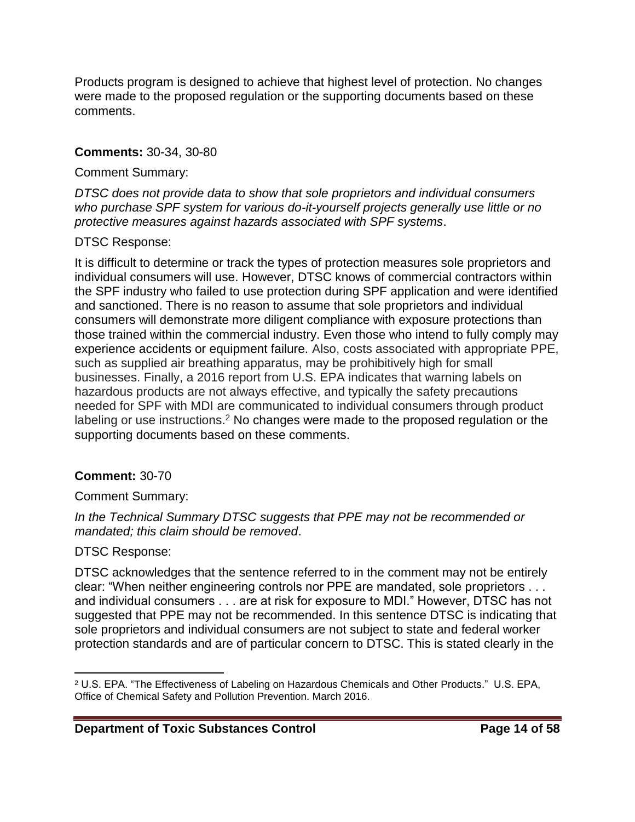Products program is designed to achieve that highest level of protection. No changes were made to the proposed regulation or the supporting documents based on these comments.

### **Comments:** 30-34, 30-80

### Comment Summary:

*DTSC does not provide data to show that sole proprietors and individual consumers who purchase SPF system for various do-it-yourself projects generally use little or no protective measures against hazards associated with SPF systems*.

### DTSC Response:

It is difficult to determine or track the types of protection measures sole proprietors and individual consumers will use. However, DTSC knows of commercial contractors within the SPF industry who failed to use protection during SPF application and were identified and sanctioned. There is no reason to assume that sole proprietors and individual consumers will demonstrate more diligent compliance with exposure protections than those trained within the commercial industry. Even those who intend to fully comply may experience accidents or equipment failure. Also, costs associated with appropriate PPE, such as supplied air breathing apparatus, may be prohibitively high for small businesses. Finally, a 2016 report from U.S. EPA indicates that warning labels on hazardous products are not always effective, and typically the safety precautions needed for SPF with MDI are communicated to individual consumers through product labeling or use instructions.<sup>2</sup> No changes were made to the proposed regulation or the supporting documents based on these comments.

### **Comment:** 30-70

Comment Summary:

### *In the Technical Summary DTSC suggests that PPE may not be recommended or mandated; this claim should be removed*.

#### DTSC Response:

 $\overline{\phantom{a}}$ 

DTSC acknowledges that the sentence referred to in the comment may not be entirely clear: "When neither engineering controls nor PPE are mandated, sole proprietors . . . and individual consumers . . . are at risk for exposure to MDI." However, DTSC has not suggested that PPE may not be recommended. In this sentence DTSC is indicating that sole proprietors and individual consumers are not subject to state and federal worker protection standards and are of particular concern to DTSC. This is stated clearly in the

<sup>2</sup> U.S. EPA. "The Effectiveness of Labeling on Hazardous Chemicals and Other Products." U.S. EPA, Office of Chemical Safety and Pollution Prevention. March 2016.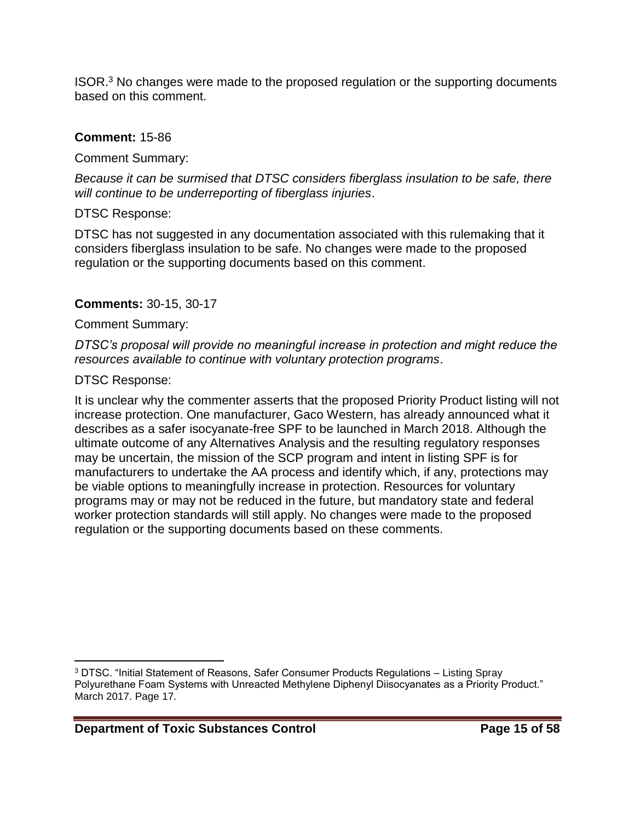ISOR.<sup>3</sup> No changes were made to the proposed regulation or the supporting documents based on this comment.

### **Comment:** 15-86

Comment Summary:

*Because it can be surmised that DTSC considers fiberglass insulation to be safe, there will continue to be underreporting of fiberglass injuries*.

### DTSC Response:

DTSC has not suggested in any documentation associated with this rulemaking that it considers fiberglass insulation to be safe. No changes were made to the proposed regulation or the supporting documents based on this comment.

## **Comments:** 30-15, 30-17

Comment Summary:

#### *DTSC's proposal will provide no meaningful increase in protection and might reduce the resources available to continue with voluntary protection programs*.

### DTSC Response:

 $\overline{\phantom{a}}$ 

It is unclear why the commenter asserts that the proposed Priority Product listing will not increase protection. One manufacturer, Gaco Western, has already announced what it describes as a safer isocyanate-free SPF to be launched in March 2018. Although the ultimate outcome of any Alternatives Analysis and the resulting regulatory responses may be uncertain, the mission of the SCP program and intent in listing SPF is for manufacturers to undertake the AA process and identify which, if any, protections may be viable options to meaningfully increase in protection. Resources for voluntary programs may or may not be reduced in the future, but mandatory state and federal worker protection standards will still apply. No changes were made to the proposed regulation or the supporting documents based on these comments.

<sup>3</sup> DTSC. "Initial Statement of Reasons, Safer Consumer Products Regulations – Listing Spray Polyurethane Foam Systems with Unreacted Methylene Diphenyl Diisocyanates as a Priority Product." March 2017. Page 17.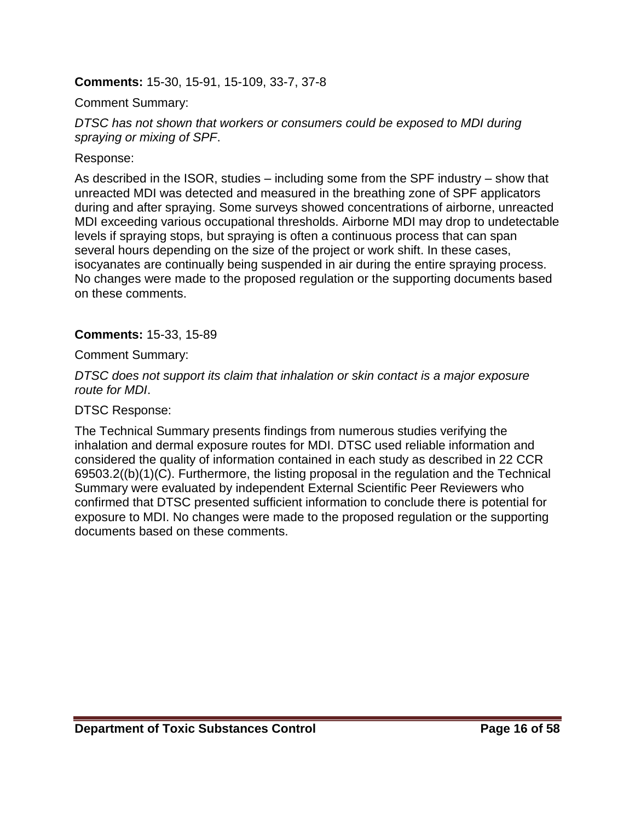### **Comments:** 15-30, 15-91, 15-109, 33-7, 37-8

Comment Summary:

*DTSC has not shown that workers or consumers could be exposed to MDI during spraying or mixing of SPF*.

Response:

As described in the ISOR, studies – including some from the SPF industry – show that unreacted MDI was detected and measured in the breathing zone of SPF applicators during and after spraying. Some surveys showed concentrations of airborne, unreacted MDI exceeding various occupational thresholds. Airborne MDI may drop to undetectable levels if spraying stops, but spraying is often a continuous process that can span several hours depending on the size of the project or work shift. In these cases, isocyanates are continually being suspended in air during the entire spraying process. No changes were made to the proposed regulation or the supporting documents based on these comments.

**Comments:** 15-33, 15-89

Comment Summary:

*DTSC does not support its claim that inhalation or skin contact is a major exposure route for MDI*.

### DTSC Response:

The Technical Summary presents findings from numerous studies verifying the inhalation and dermal exposure routes for MDI. DTSC used reliable information and considered the quality of information contained in each study as described in 22 CCR 69503.2((b)(1)(C). Furthermore, the listing proposal in the regulation and the Technical Summary were evaluated by independent External Scientific Peer Reviewers who confirmed that DTSC presented sufficient information to conclude there is potential for exposure to MDI. No changes were made to the proposed regulation or the supporting documents based on these comments.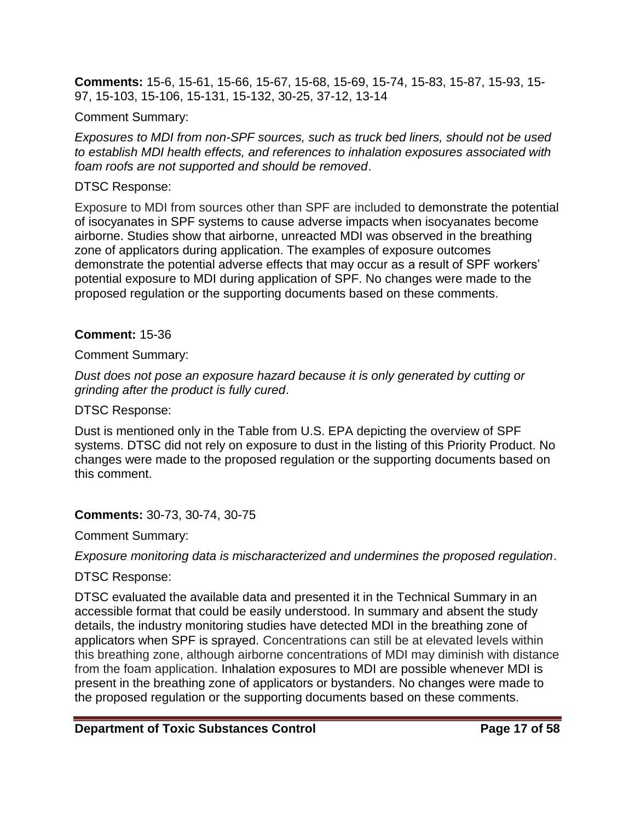**Comments:** 15-6, 15-61, 15-66, 15-67, 15-68, 15-69, 15-74, 15-83, 15-87, 15-93, 15- 97, 15-103, 15-106, 15-131, 15-132, 30-25, 37-12, 13-14

#### Comment Summary:

*Exposures to MDI from non-SPF sources, such as truck bed liners, should not be used to establish MDI health effects, and references to inhalation exposures associated with foam roofs are not supported and should be removed*.

### DTSC Response:

Exposure to MDI from sources other than SPF are included to demonstrate the potential of isocyanates in SPF systems to cause adverse impacts when isocyanates become airborne. Studies show that airborne, unreacted MDI was observed in the breathing zone of applicators during application. The examples of exposure outcomes demonstrate the potential adverse effects that may occur as a result of SPF workers' potential exposure to MDI during application of SPF. No changes were made to the proposed regulation or the supporting documents based on these comments.

### **Comment:** 15-36

Comment Summary:

*Dust does not pose an exposure hazard because it is only generated by cutting or grinding after the product is fully cured*.

### DTSC Response:

Dust is mentioned only in the Table from U.S. EPA depicting the overview of SPF systems. DTSC did not rely on exposure to dust in the listing of this Priority Product. No changes were made to the proposed regulation or the supporting documents based on this comment.

### **Comments:** 30-73, 30-74, 30-75

Comment Summary:

*Exposure monitoring data is mischaracterized and undermines the proposed regulation*.

### DTSC Response:

DTSC evaluated the available data and presented it in the Technical Summary in an accessible format that could be easily understood. In summary and absent the study details, the industry monitoring studies have detected MDI in the breathing zone of applicators when SPF is sprayed. Concentrations can still be at elevated levels within this breathing zone, although airborne concentrations of MDI may diminish with distance from the foam application. Inhalation exposures to MDI are possible whenever MDI is present in the breathing zone of applicators or bystanders. No changes were made to the proposed regulation or the supporting documents based on these comments.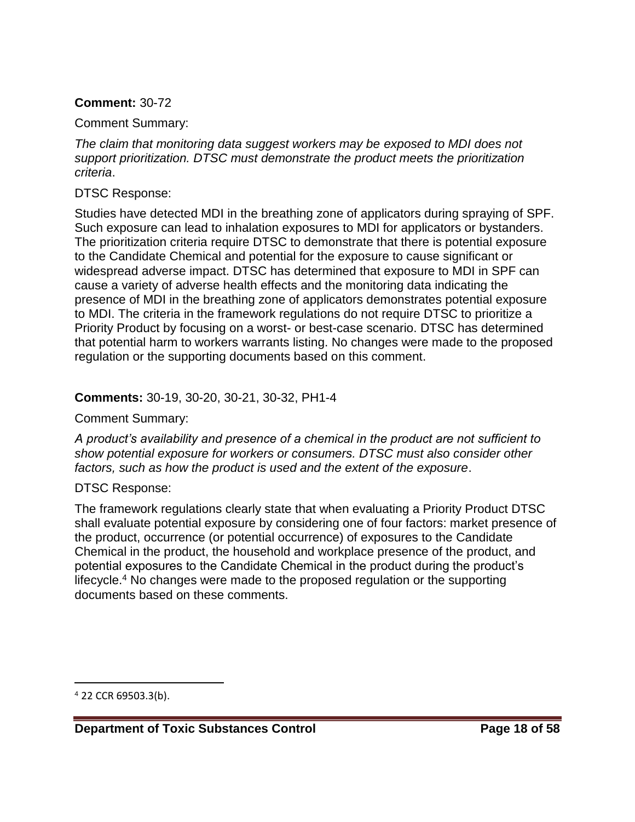### **Comment:** 30-72

Comment Summary:

*The claim that monitoring data suggest workers may be exposed to MDI does not support prioritization. DTSC must demonstrate the product meets the prioritization criteria*.

### DTSC Response:

Studies have detected MDI in the breathing zone of applicators during spraying of SPF. Such exposure can lead to inhalation exposures to MDI for applicators or bystanders. The prioritization criteria require DTSC to demonstrate that there is potential exposure to the Candidate Chemical and potential for the exposure to cause significant or widespread adverse impact. DTSC has determined that exposure to MDI in SPF can cause a variety of adverse health effects and the monitoring data indicating the presence of MDI in the breathing zone of applicators demonstrates potential exposure to MDI. The criteria in the framework regulations do not require DTSC to prioritize a Priority Product by focusing on a worst- or best-case scenario. DTSC has determined that potential harm to workers warrants listing. No changes were made to the proposed regulation or the supporting documents based on this comment.

# **Comments:** 30-19, 30-20, 30-21, 30-32, PH1-4

Comment Summary:

*A product's availability and presence of a chemical in the product are not sufficient to show potential exposure for workers or consumers. DTSC must also consider other factors, such as how the product is used and the extent of the exposure*.

# DTSC Response:

The framework regulations clearly state that when evaluating a Priority Product DTSC shall evaluate potential exposure by considering one of four factors: market presence of the product, occurrence (or potential occurrence) of exposures to the Candidate Chemical in the product, the household and workplace presence of the product, and potential exposures to the Candidate Chemical in the product during the product's lifecycle.<sup>4</sup> No changes were made to the proposed regulation or the supporting documents based on these comments.

l

<sup>4</sup> 22 CCR 69503.3(b).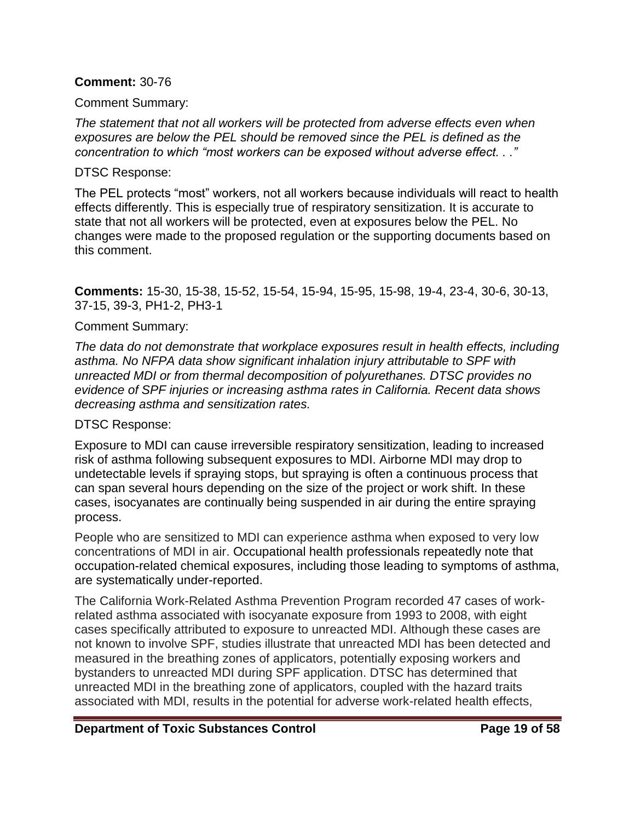#### **Comment:** 30-76

Comment Summary:

*The statement that not all workers will be protected from adverse effects even when exposures are below the PEL should be removed since the PEL is defined as the concentration to which "most workers can be exposed without adverse effect. . ."* 

### DTSC Response:

The PEL protects "most" workers, not all workers because individuals will react to health effects differently. This is especially true of respiratory sensitization. It is accurate to state that not all workers will be protected, even at exposures below the PEL. No changes were made to the proposed regulation or the supporting documents based on this comment.

**Comments:** 15-30, 15-38, 15-52, 15-54, 15-94, 15-95, 15-98, 19-4, 23-4, 30-6, 30-13, 37-15, 39-3, PH1-2, PH3-1

### Comment Summary:

*The data do not demonstrate that workplace exposures result in health effects, including asthma. No NFPA data show significant inhalation injury attributable to SPF with unreacted MDI or from thermal decomposition of polyurethanes. DTSC provides no evidence of SPF injuries or increasing asthma rates in California. Recent data shows decreasing asthma and sensitization rates.* 

### DTSC Response:

Exposure to MDI can cause irreversible respiratory sensitization, leading to increased risk of asthma following subsequent exposures to MDI. Airborne MDI may drop to undetectable levels if spraying stops, but spraying is often a continuous process that can span several hours depending on the size of the project or work shift. In these cases, isocyanates are continually being suspended in air during the entire spraying process.

People who are sensitized to MDI can experience asthma when exposed to very low concentrations of MDI in air. Occupational health professionals repeatedly note that occupation-related chemical exposures, including those leading to symptoms of asthma, are systematically under-reported.

The California Work-Related Asthma Prevention Program recorded 47 cases of workrelated asthma associated with isocyanate exposure from 1993 to 2008, with eight cases specifically attributed to exposure to unreacted MDI. Although these cases are not known to involve SPF, studies illustrate that unreacted MDI has been detected and measured in the breathing zones of applicators, potentially exposing workers and bystanders to unreacted MDI during SPF application. DTSC has determined that unreacted MDI in the breathing zone of applicators, coupled with the hazard traits associated with MDI, results in the potential for adverse work-related health effects,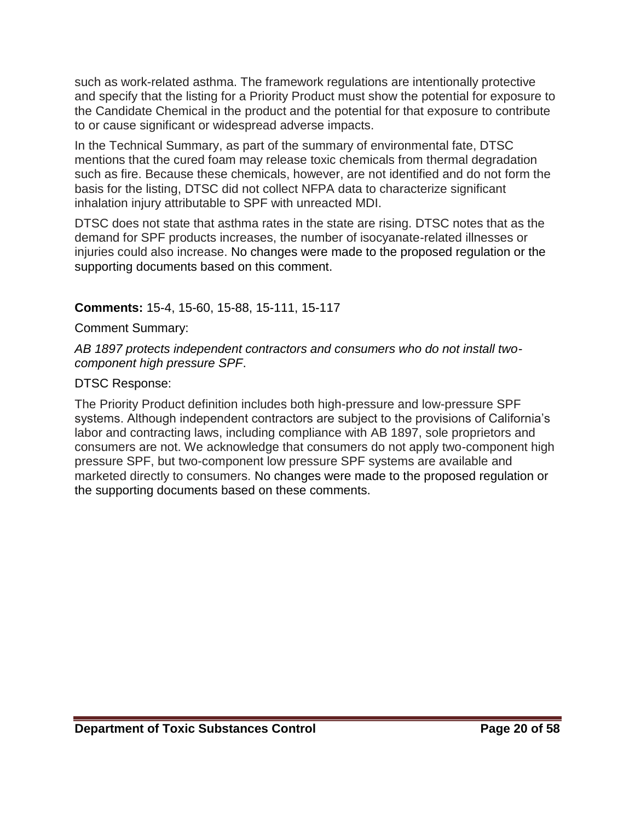such as work-related asthma. The framework regulations are intentionally protective and specify that the listing for a Priority Product must show the potential for exposure to the Candidate Chemical in the product and the potential for that exposure to contribute to or cause significant or widespread adverse impacts.

In the Technical Summary, as part of the summary of environmental fate, DTSC mentions that the cured foam may release toxic chemicals from thermal degradation such as fire. Because these chemicals, however, are not identified and do not form the basis for the listing, DTSC did not collect NFPA data to characterize significant inhalation injury attributable to SPF with unreacted MDI.

DTSC does not state that asthma rates in the state are rising. DTSC notes that as the demand for SPF products increases, the number of isocyanate-related illnesses or injuries could also increase. No changes were made to the proposed regulation or the supporting documents based on this comment.

## **Comments:** 15-4, 15-60, 15-88, 15-111, 15-117

Comment Summary:

*AB 1897 protects independent contractors and consumers who do not install twocomponent high pressure SPF*.

### DTSC Response:

The Priority Product definition includes both high-pressure and low-pressure SPF systems. Although independent contractors are subject to the provisions of California's labor and contracting laws, including compliance with AB 1897, sole proprietors and consumers are not. We acknowledge that consumers do not apply two-component high pressure SPF, but two-component low pressure SPF systems are available and marketed directly to consumers. No changes were made to the proposed regulation or the supporting documents based on these comments.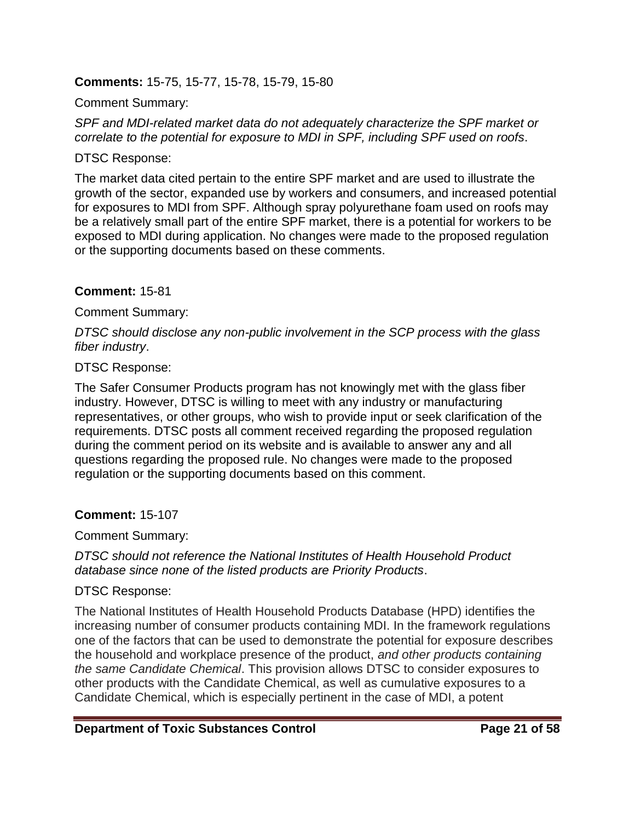### **Comments:** 15-75, 15-77, 15-78, 15-79, 15-80

#### Comment Summary:

*SPF and MDI-related market data do not adequately characterize the SPF market or correlate to the potential for exposure to MDI in SPF, including SPF used on roofs*.

### DTSC Response:

The market data cited pertain to the entire SPF market and are used to illustrate the growth of the sector, expanded use by workers and consumers, and increased potential for exposures to MDI from SPF. Although spray polyurethane foam used on roofs may be a relatively small part of the entire SPF market, there is a potential for workers to be exposed to MDI during application. No changes were made to the proposed regulation or the supporting documents based on these comments.

### **Comment:** 15-81

Comment Summary:

*DTSC should disclose any non-public involvement in the SCP process with the glass fiber industry*.

### DTSC Response:

The Safer Consumer Products program has not knowingly met with the glass fiber industry. However, DTSC is willing to meet with any industry or manufacturing representatives, or other groups, who wish to provide input or seek clarification of the requirements. DTSC posts all comment received regarding the proposed regulation during the comment period on its website and is available to answer any and all questions regarding the proposed rule. No changes were made to the proposed regulation or the supporting documents based on this comment.

### **Comment:** 15-107

Comment Summary:

*DTSC should not reference the National Institutes of Health Household Product database since none of the listed products are Priority Products*.

#### DTSC Response:

The National Institutes of Health Household Products Database (HPD) identifies the increasing number of consumer products containing MDI. In the framework regulations one of the factors that can be used to demonstrate the potential for exposure describes the household and workplace presence of the product, *and other products containing the same Candidate Chemical*. This provision allows DTSC to consider exposures to other products with the Candidate Chemical, as well as cumulative exposures to a Candidate Chemical, which is especially pertinent in the case of MDI, a potent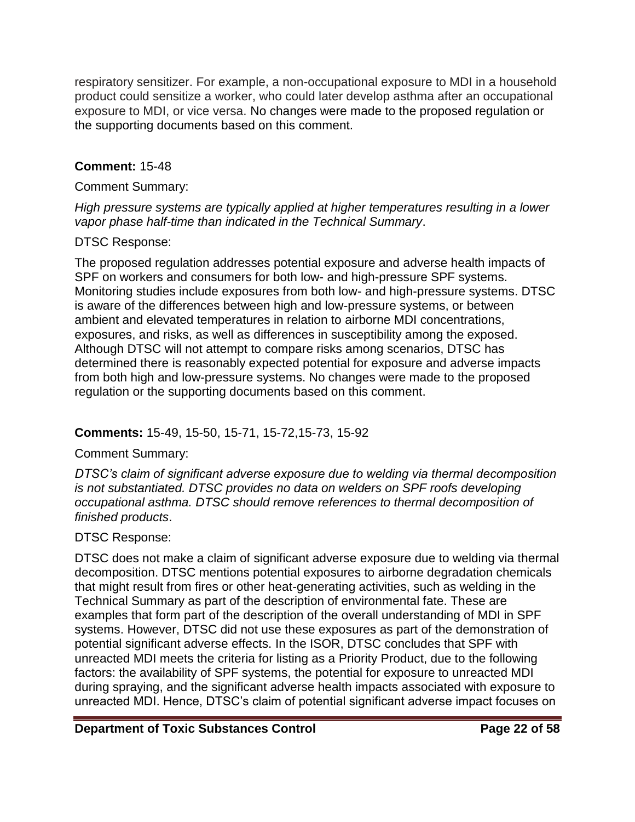respiratory sensitizer. For example, a non-occupational exposure to MDI in a household product could sensitize a worker, who could later develop asthma after an occupational exposure to MDI, or vice versa. No changes were made to the proposed regulation or the supporting documents based on this comment.

## **Comment:** 15-48

### Comment Summary:

#### *High pressure systems are typically applied at higher temperatures resulting in a lower vapor phase half-time than indicated in the Technical Summary*.

### DTSC Response:

The proposed regulation addresses potential exposure and adverse health impacts of SPF on workers and consumers for both low- and high-pressure SPF systems. Monitoring studies include exposures from both low- and high-pressure systems. DTSC is aware of the differences between high and low-pressure systems, or between ambient and elevated temperatures in relation to airborne MDI concentrations, exposures, and risks, as well as differences in susceptibility among the exposed. Although DTSC will not attempt to compare risks among scenarios, DTSC has determined there is reasonably expected potential for exposure and adverse impacts from both high and low-pressure systems. No changes were made to the proposed regulation or the supporting documents based on this comment.

# **Comments:** 15-49, 15-50, 15-71, 15-72,15-73, 15-92

### Comment Summary:

*DTSC's claim of significant adverse exposure due to welding via thermal decomposition is not substantiated. DTSC provides no data on welders on SPF roofs developing occupational asthma. DTSC should remove references to thermal decomposition of finished products*.

### DTSC Response:

DTSC does not make a claim of significant adverse exposure due to welding via thermal decomposition. DTSC mentions potential exposures to airborne degradation chemicals that might result from fires or other heat-generating activities, such as welding in the Technical Summary as part of the description of environmental fate. These are examples that form part of the description of the overall understanding of MDI in SPF systems. However, DTSC did not use these exposures as part of the demonstration of potential significant adverse effects. In the ISOR, DTSC concludes that SPF with unreacted MDI meets the criteria for listing as a Priority Product, due to the following factors: the availability of SPF systems, the potential for exposure to unreacted MDI during spraying, and the significant adverse health impacts associated with exposure to unreacted MDI. Hence, DTSC's claim of potential significant adverse impact focuses on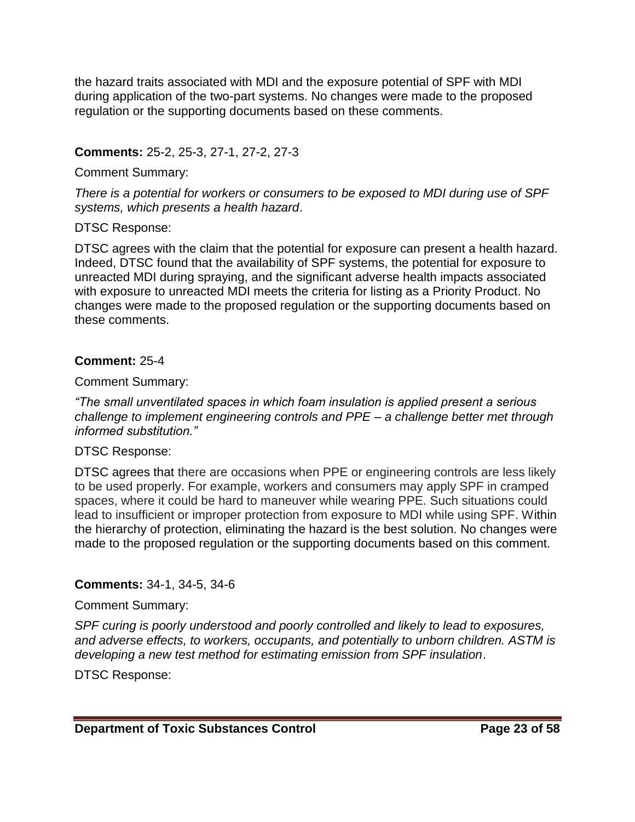the hazard traits associated with MDI and the exposure potential of SPF with MDI during application of the two-part systems. No changes were made to the proposed regulation or the supporting documents based on these comments.

### **Comments:** 25-2, 25-3, 27-1, 27-2, 27-3

### Comment Summary:

*There is a potential for workers or consumers to be exposed to MDI during use of SPF systems, which presents a health hazard*.

## DTSC Response:

DTSC agrees with the claim that the potential for exposure can present a health hazard. Indeed, DTSC found that the availability of SPF systems, the potential for exposure to unreacted MDI during spraying, and the significant adverse health impacts associated with exposure to unreacted MDI meets the criteria for listing as a Priority Product. No changes were made to the proposed regulation or the supporting documents based on these comments.

# **Comment:** 25-4

Comment Summary:

*"The small unventilated spaces in which foam insulation is applied present a serious challenge to implement engineering controls and PPE – a challenge better met through informed substitution."* 

### DTSC Response:

DTSC agrees that there are occasions when PPE or engineering controls are less likely to be used properly. For example, workers and consumers may apply SPF in cramped spaces, where it could be hard to maneuver while wearing PPE. Such situations could lead to insufficient or improper protection from exposure to MDI while using SPF. Within the hierarchy of protection, eliminating the hazard is the best solution. No changes were made to the proposed regulation or the supporting documents based on this comment.

# **Comments:** 34-1, 34-5, 34-6

Comment Summary:

*SPF curing is poorly understood and poorly controlled and likely to lead to exposures, and adverse effects, to workers, occupants, and potentially to unborn children. ASTM is developing a new test method for estimating emission from SPF insulation*.

DTSC Response: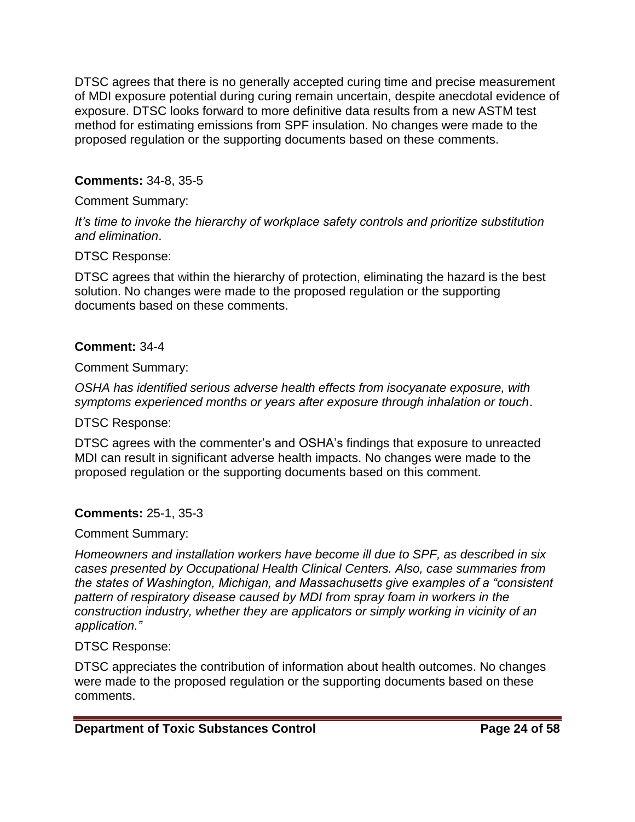DTSC agrees that there is no generally accepted curing time and precise measurement of MDI exposure potential during curing remain uncertain, despite anecdotal evidence of exposure. DTSC looks forward to more definitive data results from a new ASTM test method for estimating emissions from SPF insulation. No changes were made to the proposed regulation or the supporting documents based on these comments.

### **Comments:** 34-8, 35-5

### Comment Summary:

*It's time to invoke the hierarchy of workplace safety controls and prioritize substitution and elimination*.

### DTSC Response:

DTSC agrees that within the hierarchy of protection, eliminating the hazard is the best solution. No changes were made to the proposed regulation or the supporting documents based on these comments.

### **Comment:** 34-4

Comment Summary:

*OSHA has identified serious adverse health effects from isocyanate exposure, with symptoms experienced months or years after exposure through inhalation or touch*.

DTSC Response:

DTSC agrees with the commenter's and OSHA's findings that exposure to unreacted MDI can result in significant adverse health impacts. No changes were made to the proposed regulation or the supporting documents based on this comment.

### **Comments:** 25-1, 35-3

Comment Summary:

*Homeowners and installation workers have become ill due to SPF, as described in six cases presented by Occupational Health Clinical Centers. Also, case summaries from the states of Washington, Michigan, and Massachusetts give examples of a "consistent pattern of respiratory disease caused by MDI from spray foam in workers in the construction industry, whether they are applicators or simply working in vicinity of an application."* 

### DTSC Response:

DTSC appreciates the contribution of information about health outcomes. No changes were made to the proposed regulation or the supporting documents based on these comments.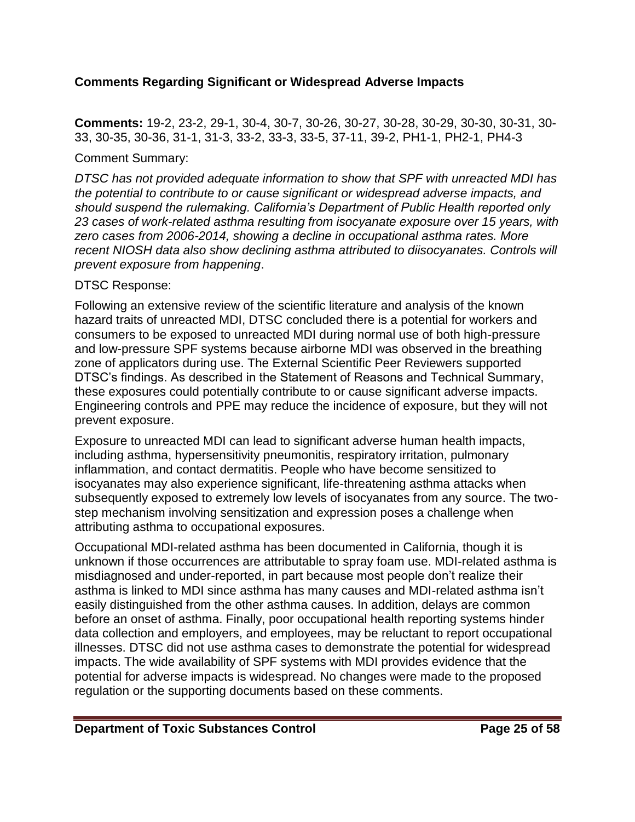### **Comments Regarding Significant or Widespread Adverse Impacts**

**Comments:** 19-2, 23-2, 29-1, 30-4, 30-7, 30-26, 30-27, 30-28, 30-29, 30-30, 30-31, 30- 33, 30-35, 30-36, 31-1, 31-3, 33-2, 33-3, 33-5, 37-11, 39-2, PH1-1, PH2-1, PH4-3

### Comment Summary:

*DTSC has not provided adequate information to show that SPF with unreacted MDI has the potential to contribute to or cause significant or widespread adverse impacts, and should suspend the rulemaking. California's Department of Public Health reported only 23 cases of work-related asthma resulting from isocyanate exposure over 15 years, with zero cases from 2006-2014, showing a decline in occupational asthma rates. More recent NIOSH data also show declining asthma attributed to diisocyanates. Controls will prevent exposure from happening*.

### DTSC Response:

Following an extensive review of the scientific literature and analysis of the known hazard traits of unreacted MDI, DTSC concluded there is a potential for workers and consumers to be exposed to unreacted MDI during normal use of both high-pressure and low-pressure SPF systems because airborne MDI was observed in the breathing zone of applicators during use. The External Scientific Peer Reviewers supported DTSC's findings. As described in the Statement of Reasons and Technical Summary, these exposures could potentially contribute to or cause significant adverse impacts. Engineering controls and PPE may reduce the incidence of exposure, but they will not prevent exposure.

Exposure to unreacted MDI can lead to significant adverse human health impacts, including asthma, hypersensitivity pneumonitis, respiratory irritation, pulmonary inflammation, and contact dermatitis. People who have become sensitized to isocyanates may also experience significant, life-threatening asthma attacks when subsequently exposed to extremely low levels of isocyanates from any source. The twostep mechanism involving sensitization and expression poses a challenge when attributing asthma to occupational exposures.

Occupational MDI-related asthma has been documented in California, though it is unknown if those occurrences are attributable to spray foam use. MDI-related asthma is misdiagnosed and under-reported, in part because most people don't realize their asthma is linked to MDI since asthma has many causes and MDI-related asthma isn't easily distinguished from the other asthma causes. In addition, delays are common before an onset of asthma. Finally, poor occupational health reporting systems hinder data collection and employers, and employees, may be reluctant to report occupational illnesses. DTSC did not use asthma cases to demonstrate the potential for widespread impacts. The wide availability of SPF systems with MDI provides evidence that the potential for adverse impacts is widespread. No changes were made to the proposed regulation or the supporting documents based on these comments.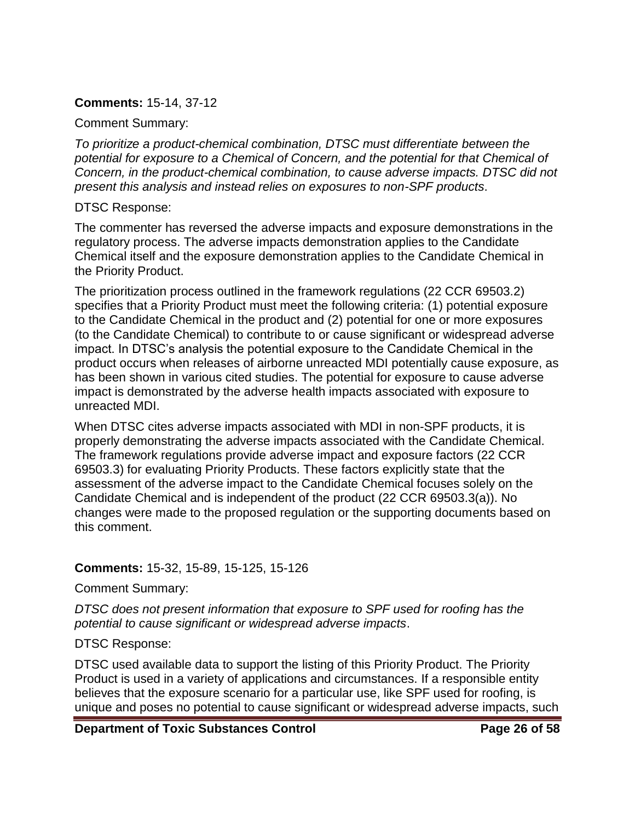### **Comments:** 15-14, 37-12

### Comment Summary:

*To prioritize a product-chemical combination, DTSC must differentiate between the potential for exposure to a Chemical of Concern, and the potential for that Chemical of Concern, in the product-chemical combination, to cause adverse impacts. DTSC did not present this analysis and instead relies on exposures to non-SPF products*.

### DTSC Response:

The commenter has reversed the adverse impacts and exposure demonstrations in the regulatory process. The adverse impacts demonstration applies to the Candidate Chemical itself and the exposure demonstration applies to the Candidate Chemical in the Priority Product.

The prioritization process outlined in the framework regulations (22 CCR 69503.2) specifies that a Priority Product must meet the following criteria: (1) potential exposure to the Candidate Chemical in the product and (2) potential for one or more exposures (to the Candidate Chemical) to contribute to or cause significant or widespread adverse impact. In DTSC's analysis the potential exposure to the Candidate Chemical in the product occurs when releases of airborne unreacted MDI potentially cause exposure, as has been shown in various cited studies. The potential for exposure to cause adverse impact is demonstrated by the adverse health impacts associated with exposure to unreacted MDI.

When DTSC cites adverse impacts associated with MDI in non-SPF products, it is properly demonstrating the adverse impacts associated with the Candidate Chemical. The framework regulations provide adverse impact and exposure factors (22 CCR 69503.3) for evaluating Priority Products. These factors explicitly state that the assessment of the adverse impact to the Candidate Chemical focuses solely on the Candidate Chemical and is independent of the product (22 CCR 69503.3(a)). No changes were made to the proposed regulation or the supporting documents based on this comment.

# **Comments:** 15-32, 15-89, 15-125, 15-126

Comment Summary:

*DTSC does not present information that exposure to SPF used for roofing has the potential to cause significant or widespread adverse impacts*.

### DTSC Response:

DTSC used available data to support the listing of this Priority Product. The Priority Product is used in a variety of applications and circumstances. If a responsible entity believes that the exposure scenario for a particular use, like SPF used for roofing, is unique and poses no potential to cause significant or widespread adverse impacts, such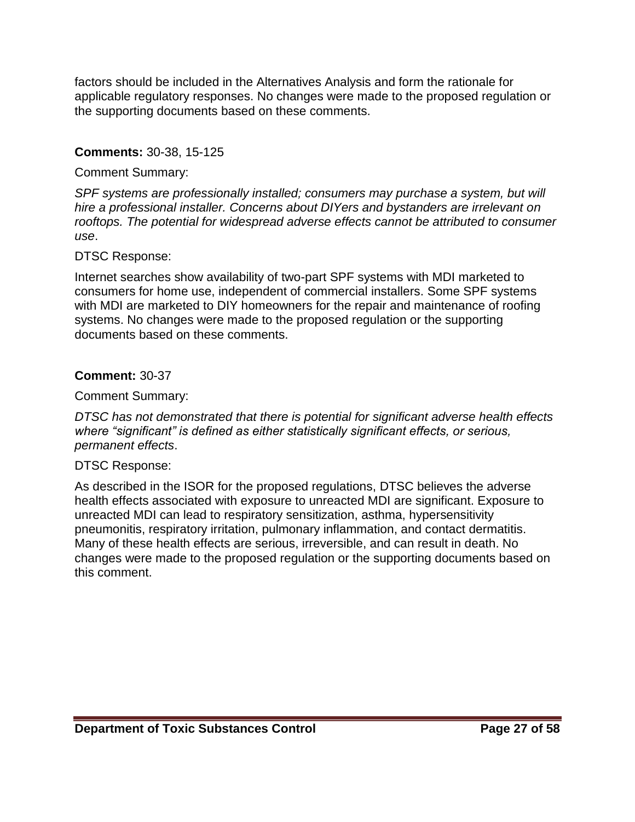factors should be included in the Alternatives Analysis and form the rationale for applicable regulatory responses. No changes were made to the proposed regulation or the supporting documents based on these comments.

### **Comments:** 30-38, 15-125

### Comment Summary:

*SPF systems are professionally installed; consumers may purchase a system, but will hire a professional installer. Concerns about DIYers and bystanders are irrelevant on rooftops. The potential for widespread adverse effects cannot be attributed to consumer use*.

#### DTSC Response:

Internet searches show availability of two-part SPF systems with MDI marketed to consumers for home use, independent of commercial installers. Some SPF systems with MDI are marketed to DIY homeowners for the repair and maintenance of roofing systems. No changes were made to the proposed regulation or the supporting documents based on these comments.

#### **Comment:** 30-37

Comment Summary:

*DTSC has not demonstrated that there is potential for significant adverse health effects where "significant" is defined as either statistically significant effects, or serious, permanent effects*.

#### DTSC Response:

As described in the ISOR for the proposed regulations, DTSC believes the adverse health effects associated with exposure to unreacted MDI are significant. Exposure to unreacted MDI can lead to respiratory sensitization, asthma, hypersensitivity pneumonitis, respiratory irritation, pulmonary inflammation, and contact dermatitis. Many of these health effects are serious, irreversible, and can result in death. No changes were made to the proposed regulation or the supporting documents based on this comment.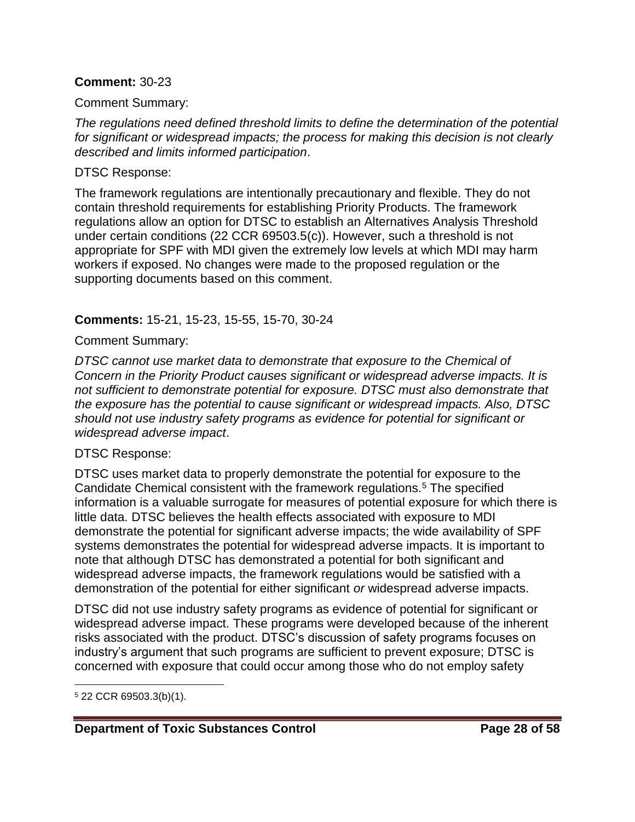#### **Comment:** 30-23

Comment Summary:

*The regulations need defined threshold limits to define the determination of the potential for significant or widespread impacts; the process for making this decision is not clearly described and limits informed participation*.

#### DTSC Response:

The framework regulations are intentionally precautionary and flexible. They do not contain threshold requirements for establishing Priority Products. The framework regulations allow an option for DTSC to establish an Alternatives Analysis Threshold under certain conditions (22 CCR 69503.5(c)). However, such a threshold is not appropriate for SPF with MDI given the extremely low levels at which MDI may harm workers if exposed. No changes were made to the proposed regulation or the supporting documents based on this comment.

## **Comments:** 15-21, 15-23, 15-55, 15-70, 30-24

### Comment Summary:

*DTSC cannot use market data to demonstrate that exposure to the Chemical of Concern in the Priority Product causes significant or widespread adverse impacts. It is not sufficient to demonstrate potential for exposure. DTSC must also demonstrate that the exposure has the potential to cause significant or widespread impacts. Also, DTSC should not use industry safety programs as evidence for potential for significant or widespread adverse impact*.

### DTSC Response:

DTSC uses market data to properly demonstrate the potential for exposure to the Candidate Chemical consistent with the framework regulations.<sup>5</sup> The specified information is a valuable surrogate for measures of potential exposure for which there is little data. DTSC believes the health effects associated with exposure to MDI demonstrate the potential for significant adverse impacts; the wide availability of SPF systems demonstrates the potential for widespread adverse impacts. It is important to note that although DTSC has demonstrated a potential for both significant and widespread adverse impacts, the framework regulations would be satisfied with a demonstration of the potential for either significant *or* widespread adverse impacts.

DTSC did not use industry safety programs as evidence of potential for significant or widespread adverse impact. These programs were developed because of the inherent risks associated with the product. DTSC's discussion of safety programs focuses on industry's argument that such programs are sufficient to prevent exposure; DTSC is concerned with exposure that could occur among those who do not employ safety

l <sup>5</sup> 22 CCR 69503.3(b)(1).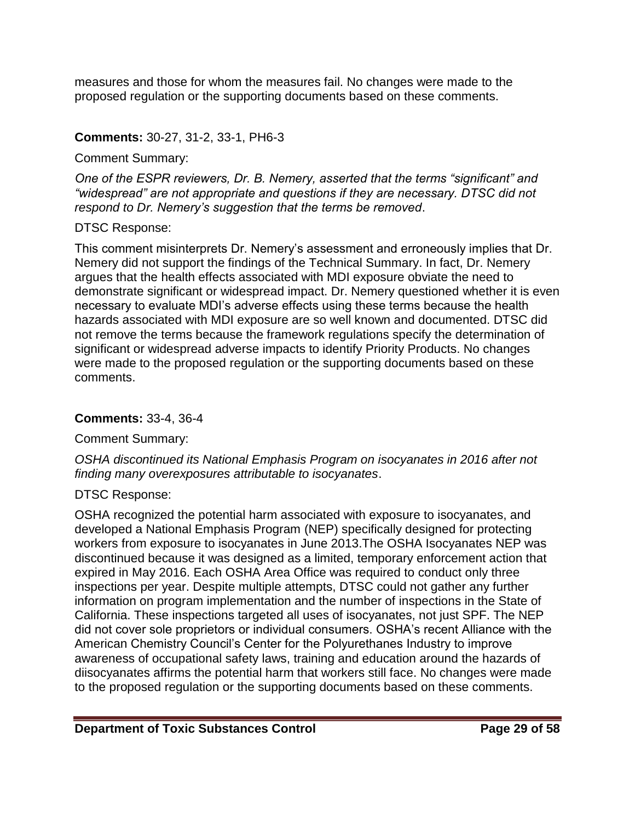measures and those for whom the measures fail. No changes were made to the proposed regulation or the supporting documents based on these comments.

### **Comments:** 30-27, 31-2, 33-1, PH6-3

#### Comment Summary:

*One of the ESPR reviewers, Dr. B. Nemery, asserted that the terms "significant" and "widespread" are not appropriate and questions if they are necessary. DTSC did not respond to Dr. Nemery's suggestion that the terms be removed*.

### DTSC Response:

This comment misinterprets Dr. Nemery's assessment and erroneously implies that Dr. Nemery did not support the findings of the Technical Summary. In fact, Dr. Nemery argues that the health effects associated with MDI exposure obviate the need to demonstrate significant or widespread impact. Dr. Nemery questioned whether it is even necessary to evaluate MDI's adverse effects using these terms because the health hazards associated with MDI exposure are so well known and documented. DTSC did not remove the terms because the framework regulations specify the determination of significant or widespread adverse impacts to identify Priority Products. No changes were made to the proposed regulation or the supporting documents based on these comments.

### **Comments:** 33-4, 36-4

Comment Summary:

*OSHA discontinued its National Emphasis Program on isocyanates in 2016 after not finding many overexposures attributable to isocyanates*.

#### DTSC Response:

OSHA recognized the potential harm associated with exposure to isocyanates, and developed a National Emphasis Program (NEP) specifically designed for protecting workers from exposure to isocyanates in June 2013.The OSHA Isocyanates NEP was discontinued because it was designed as a limited, temporary enforcement action that expired in May 2016. Each OSHA Area Office was required to conduct only three inspections per year. Despite multiple attempts, DTSC could not gather any further information on program implementation and the number of inspections in the State of California. These inspections targeted all uses of isocyanates, not just SPF. The NEP did not cover sole proprietors or individual consumers. OSHA's recent Alliance with the American Chemistry Council's Center for the Polyurethanes Industry to improve awareness of occupational safety laws, training and education around the hazards of diisocyanates affirms the potential harm that workers still face. No changes were made to the proposed regulation or the supporting documents based on these comments.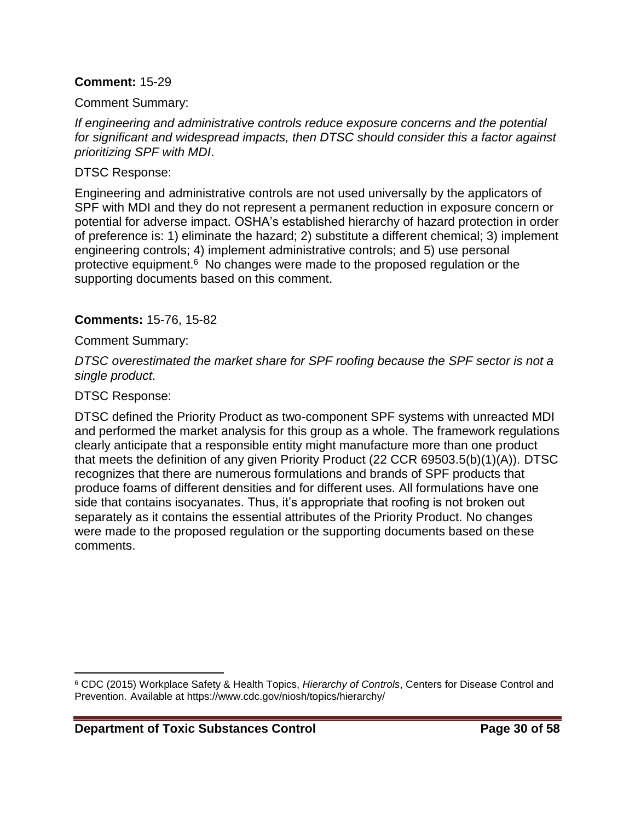#### **Comment:** 15-29

Comment Summary:

*If engineering and administrative controls reduce exposure concerns and the potential for significant and widespread impacts, then DTSC should consider this a factor against prioritizing SPF with MDI*.

### DTSC Response:

Engineering and administrative controls are not used universally by the applicators of SPF with MDI and they do not represent a permanent reduction in exposure concern or potential for adverse impact. OSHA's established hierarchy of hazard protection in order of preference is: 1) eliminate the hazard; 2) substitute a different chemical; 3) implement engineering controls; 4) implement administrative controls; and 5) use personal protective equipment.<sup>6</sup> No changes were made to the proposed regulation or the supporting documents based on this comment.

### **Comments:** 15-76, 15-82

Comment Summary:

*DTSC overestimated the market share for SPF roofing because the SPF sector is not a single product*.

### DTSC Response:

DTSC defined the Priority Product as two-component SPF systems with unreacted MDI and performed the market analysis for this group as a whole. The framework regulations clearly anticipate that a responsible entity might manufacture more than one product that meets the definition of any given Priority Product (22 CCR 69503.5(b)(1)(A)). DTSC recognizes that there are numerous formulations and brands of SPF products that produce foams of different densities and for different uses. All formulations have one side that contains isocyanates. Thus, it's appropriate that roofing is not broken out separately as it contains the essential attributes of the Priority Product. No changes were made to the proposed regulation or the supporting documents based on these comments.

 $\overline{\phantom{a}}$ <sup>6</sup> CDC (2015) Workplace Safety & Health Topics, *Hierarchy of Controls*, Centers for Disease Control and Prevention. Available at https://www.cdc.gov/niosh/topics/hierarchy/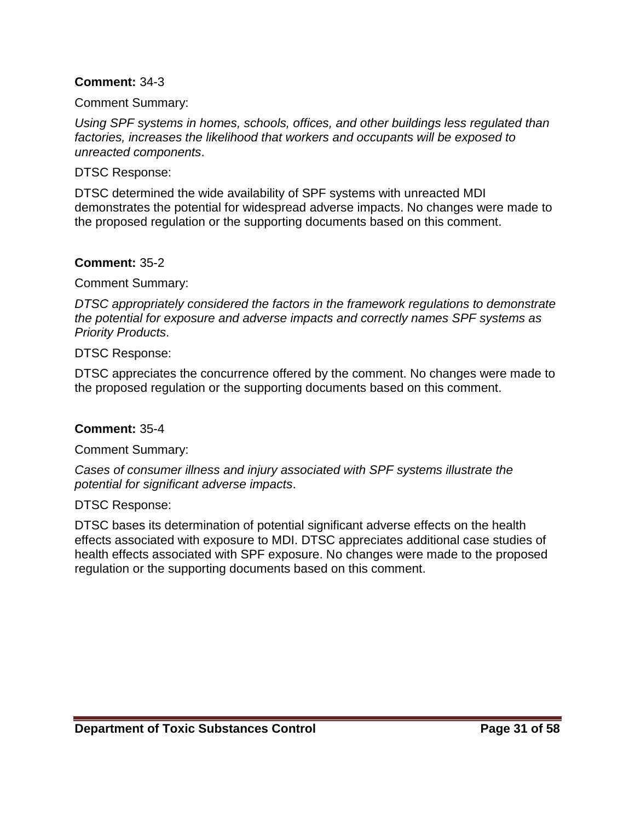#### **Comment:** 34-3

Comment Summary:

*Using SPF systems in homes, schools, offices, and other buildings less regulated than factories, increases the likelihood that workers and occupants will be exposed to unreacted components*.

#### DTSC Response:

DTSC determined the wide availability of SPF systems with unreacted MDI demonstrates the potential for widespread adverse impacts. No changes were made to the proposed regulation or the supporting documents based on this comment.

### **Comment:** 35-2

Comment Summary:

*DTSC appropriately considered the factors in the framework regulations to demonstrate the potential for exposure and adverse impacts and correctly names SPF systems as Priority Products*.

DTSC Response:

DTSC appreciates the concurrence offered by the comment. No changes were made to the proposed regulation or the supporting documents based on this comment.

### **Comment:** 35-4

Comment Summary:

*Cases of consumer illness and injury associated with SPF systems illustrate the potential for significant adverse impacts*.

#### DTSC Response:

DTSC bases its determination of potential significant adverse effects on the health effects associated with exposure to MDI. DTSC appreciates additional case studies of health effects associated with SPF exposure. No changes were made to the proposed regulation or the supporting documents based on this comment.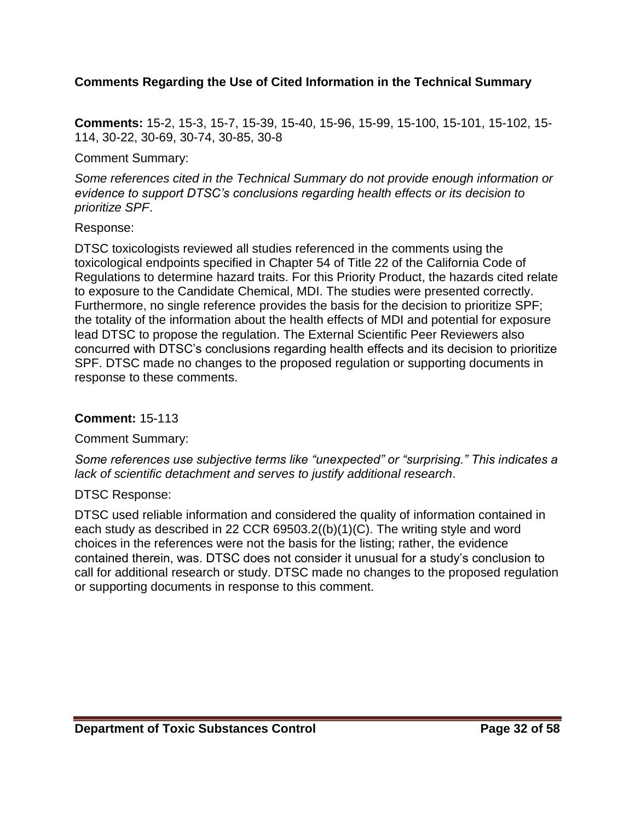## **Comments Regarding the Use of Cited Information in the Technical Summary**

**Comments:** 15-2, 15-3, 15-7, 15-39, 15-40, 15-96, 15-99, 15-100, 15-101, 15-102, 15- 114, 30-22, 30-69, 30-74, 30-85, 30-8

Comment Summary:

*Some references cited in the Technical Summary do not provide enough information or evidence to support DTSC's conclusions regarding health effects or its decision to prioritize SPF*.

### Response:

DTSC toxicologists reviewed all studies referenced in the comments using the toxicological endpoints specified in Chapter 54 of Title 22 of the California Code of Regulations to determine hazard traits. For this Priority Product, the hazards cited relate to exposure to the Candidate Chemical, MDI. The studies were presented correctly. Furthermore, no single reference provides the basis for the decision to prioritize SPF; the totality of the information about the health effects of MDI and potential for exposure lead DTSC to propose the regulation. The External Scientific Peer Reviewers also concurred with DTSC's conclusions regarding health effects and its decision to prioritize SPF. DTSC made no changes to the proposed regulation or supporting documents in response to these comments.

### **Comment:** 15-113

Comment Summary:

*Some references use subjective terms like "unexpected" or "surprising." This indicates a lack of scientific detachment and serves to justify additional research*.

### DTSC Response:

DTSC used reliable information and considered the quality of information contained in each study as described in 22 CCR 69503.2((b)(1)(C). The writing style and word choices in the references were not the basis for the listing; rather, the evidence contained therein, was. DTSC does not consider it unusual for a study's conclusion to call for additional research or study. DTSC made no changes to the proposed regulation or supporting documents in response to this comment.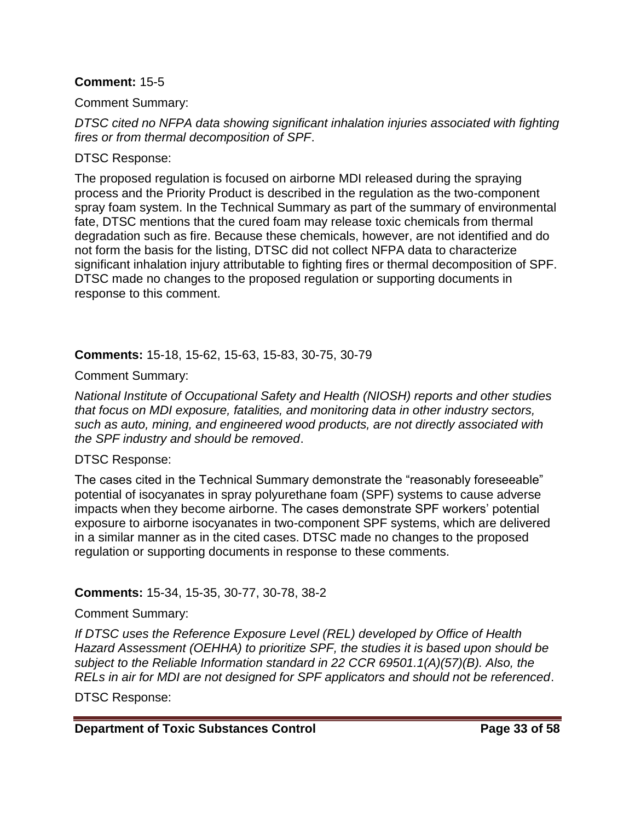#### **Comment:** 15-5

Comment Summary:

*DTSC cited no NFPA data showing significant inhalation injuries associated with fighting fires or from thermal decomposition of SPF*.

### DTSC Response:

The proposed regulation is focused on airborne MDI released during the spraying process and the Priority Product is described in the regulation as the two-component spray foam system. In the Technical Summary as part of the summary of environmental fate, DTSC mentions that the cured foam may release toxic chemicals from thermal degradation such as fire. Because these chemicals, however, are not identified and do not form the basis for the listing, DTSC did not collect NFPA data to characterize significant inhalation injury attributable to fighting fires or thermal decomposition of SPF. DTSC made no changes to the proposed regulation or supporting documents in response to this comment.

### **Comments:** 15-18, 15-62, 15-63, 15-83, 30-75, 30-79

Comment Summary:

*National Institute of Occupational Safety and Health (NIOSH) reports and other studies that focus on MDI exposure, fatalities, and monitoring data in other industry sectors, such as auto, mining, and engineered wood products, are not directly associated with the SPF industry and should be removed*.

### DTSC Response:

The cases cited in the Technical Summary demonstrate the "reasonably foreseeable" potential of isocyanates in spray polyurethane foam (SPF) systems to cause adverse impacts when they become airborne. The cases demonstrate SPF workers' potential exposure to airborne isocyanates in two-component SPF systems, which are delivered in a similar manner as in the cited cases. DTSC made no changes to the proposed regulation or supporting documents in response to these comments.

### **Comments:** 15-34, 15-35, 30-77, 30-78, 38-2

### Comment Summary:

*If DTSC uses the Reference Exposure Level (REL) developed by Office of Health Hazard Assessment (OEHHA) to prioritize SPF, the studies it is based upon should be subject to the Reliable Information standard in 22 CCR 69501.1(A)(57)(B). Also, the RELs in air for MDI are not designed for SPF applicators and should not be referenced*.

DTSC Response: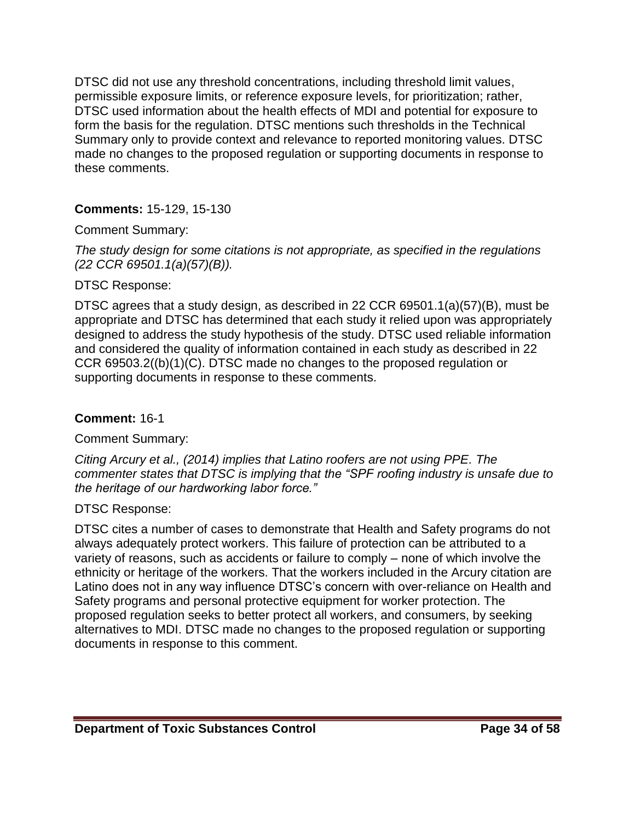DTSC did not use any threshold concentrations, including threshold limit values, permissible exposure limits, or reference exposure levels, for prioritization; rather, DTSC used information about the health effects of MDI and potential for exposure to form the basis for the regulation. DTSC mentions such thresholds in the Technical Summary only to provide context and relevance to reported monitoring values. DTSC made no changes to the proposed regulation or supporting documents in response to these comments.

## **Comments:** 15-129, 15-130

Comment Summary:

*The study design for some citations is not appropriate, as specified in the regulations (22 CCR 69501.1(a)(57)(B)).* 

DTSC Response:

DTSC agrees that a study design, as described in 22 CCR 69501.1(a)(57)(B), must be appropriate and DTSC has determined that each study it relied upon was appropriately designed to address the study hypothesis of the study. DTSC used reliable information and considered the quality of information contained in each study as described in 22 CCR 69503.2((b)(1)(C). DTSC made no changes to the proposed regulation or supporting documents in response to these comments.

# **Comment:** 16-1

Comment Summary:

*Citing Arcury et al., (2014) implies that Latino roofers are not using PPE. The commenter states that DTSC is implying that the "SPF roofing industry is unsafe due to the heritage of our hardworking labor force."* 

# DTSC Response:

DTSC cites a number of cases to demonstrate that Health and Safety programs do not always adequately protect workers. This failure of protection can be attributed to a variety of reasons, such as accidents or failure to comply – none of which involve the ethnicity or heritage of the workers. That the workers included in the Arcury citation are Latino does not in any way influence DTSC's concern with over-reliance on Health and Safety programs and personal protective equipment for worker protection. The proposed regulation seeks to better protect all workers, and consumers, by seeking alternatives to MDI. DTSC made no changes to the proposed regulation or supporting documents in response to this comment.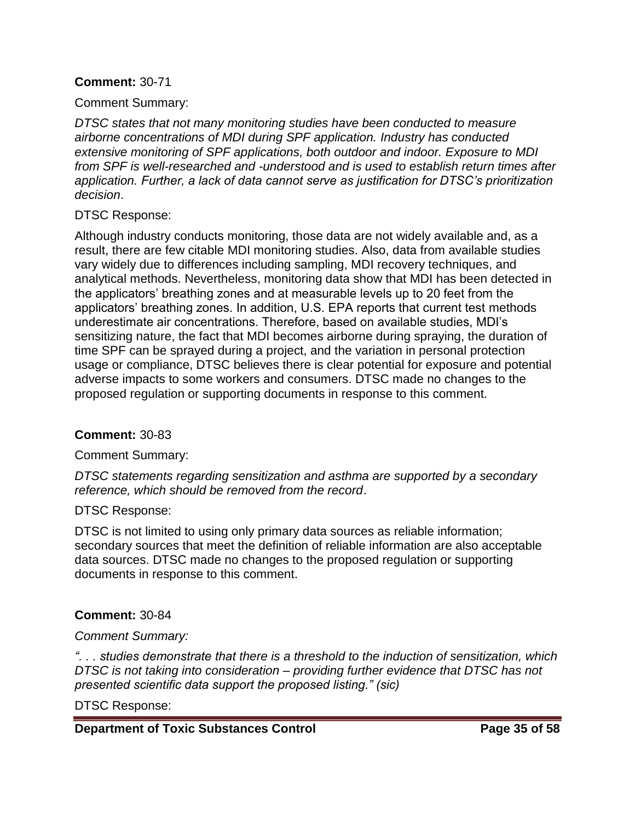#### **Comment:** 30-71

### Comment Summary:

*DTSC states that not many monitoring studies have been conducted to measure airborne concentrations of MDI during SPF application. Industry has conducted extensive monitoring of SPF applications, both outdoor and indoor. Exposure to MDI from SPF is well-researched and -understood and is used to establish return times after application. Further, a lack of data cannot serve as justification for DTSC's prioritization decision*.

### DTSC Response:

Although industry conducts monitoring, those data are not widely available and, as a result, there are few citable MDI monitoring studies. Also, data from available studies vary widely due to differences including sampling, MDI recovery techniques, and analytical methods. Nevertheless, monitoring data show that MDI has been detected in the applicators' breathing zones and at measurable levels up to 20 feet from the applicators' breathing zones. In addition, U.S. EPA reports that current test methods underestimate air concentrations. Therefore, based on available studies, MDI's sensitizing nature, the fact that MDI becomes airborne during spraying, the duration of time SPF can be sprayed during a project, and the variation in personal protection usage or compliance, DTSC believes there is clear potential for exposure and potential adverse impacts to some workers and consumers. DTSC made no changes to the proposed regulation or supporting documents in response to this comment.

### **Comment:** 30-83

#### Comment Summary:

*DTSC statements regarding sensitization and asthma are supported by a secondary reference, which should be removed from the record*.

#### DTSC Response:

DTSC is not limited to using only primary data sources as reliable information; secondary sources that meet the definition of reliable information are also acceptable data sources. DTSC made no changes to the proposed regulation or supporting documents in response to this comment.

### **Comment:** 30-84

### *Comment Summary:*

*". . . studies demonstrate that there is a threshold to the induction of sensitization, which DTSC is not taking into consideration – providing further evidence that DTSC has not presented scientific data support the proposed listing." (sic)*

#### DTSC Response:

**Department of Toxic Substances Control Page 35 of 58**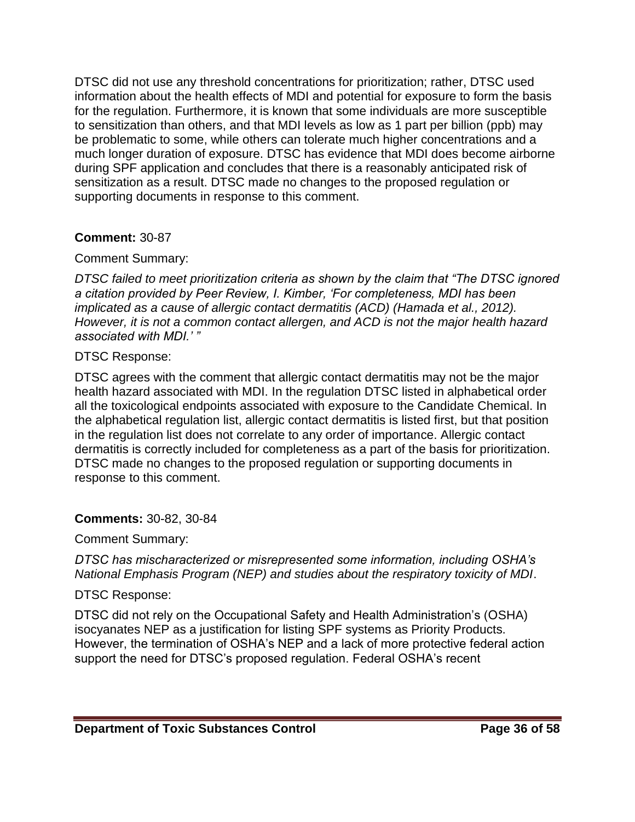DTSC did not use any threshold concentrations for prioritization; rather, DTSC used information about the health effects of MDI and potential for exposure to form the basis for the regulation. Furthermore, it is known that some individuals are more susceptible to sensitization than others, and that MDI levels as low as 1 part per billion (ppb) may be problematic to some, while others can tolerate much higher concentrations and a much longer duration of exposure. DTSC has evidence that MDI does become airborne during SPF application and concludes that there is a reasonably anticipated risk of sensitization as a result. DTSC made no changes to the proposed regulation or supporting documents in response to this comment.

### **Comment:** 30-87

## Comment Summary:

*DTSC failed to meet prioritization criteria as shown by the claim that "The DTSC ignored a citation provided by Peer Review, I. Kimber, 'For completeness, MDI has been implicated as a cause of allergic contact dermatitis (ACD) (Hamada et al., 2012). However, it is not a common contact allergen, and ACD is not the major health hazard associated with MDI.' "* 

### DTSC Response:

DTSC agrees with the comment that allergic contact dermatitis may not be the major health hazard associated with MDI. In the regulation DTSC listed in alphabetical order all the toxicological endpoints associated with exposure to the Candidate Chemical. In the alphabetical regulation list, allergic contact dermatitis is listed first, but that position in the regulation list does not correlate to any order of importance. Allergic contact dermatitis is correctly included for completeness as a part of the basis for prioritization. DTSC made no changes to the proposed regulation or supporting documents in response to this comment.

# **Comments:** 30-82, 30-84

Comment Summary:

*DTSC has mischaracterized or misrepresented some information, including OSHA's National Emphasis Program (NEP) and studies about the respiratory toxicity of MDI*.

### DTSC Response:

DTSC did not rely on the Occupational Safety and Health Administration's (OSHA) isocyanates NEP as a justification for listing SPF systems as Priority Products. However, the termination of OSHA's NEP and a lack of more protective federal action support the need for DTSC's proposed regulation. Federal OSHA's recent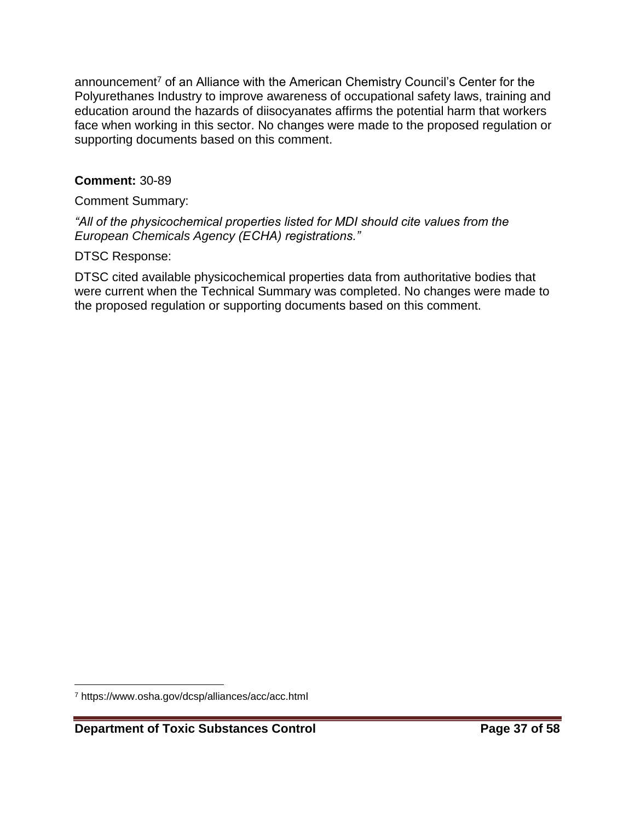announcement<sup>7</sup> of an Alliance with the American Chemistry Council's Center for the Polyurethanes Industry to improve awareness of occupational safety laws, training and education around the hazards of diisocyanates affirms the potential harm that workers face when working in this sector. No changes were made to the proposed regulation or supporting documents based on this comment.

## **Comment:** 30-89

Comment Summary:

*"All of the physicochemical properties listed for MDI should cite values from the European Chemicals Agency (ECHA) registrations."* 

DTSC Response:

DTSC cited available physicochemical properties data from authoritative bodies that were current when the Technical Summary was completed. No changes were made to the proposed regulation or supporting documents based on this comment.

l <sup>7</sup> https://www.osha.gov/dcsp/alliances/acc/acc.html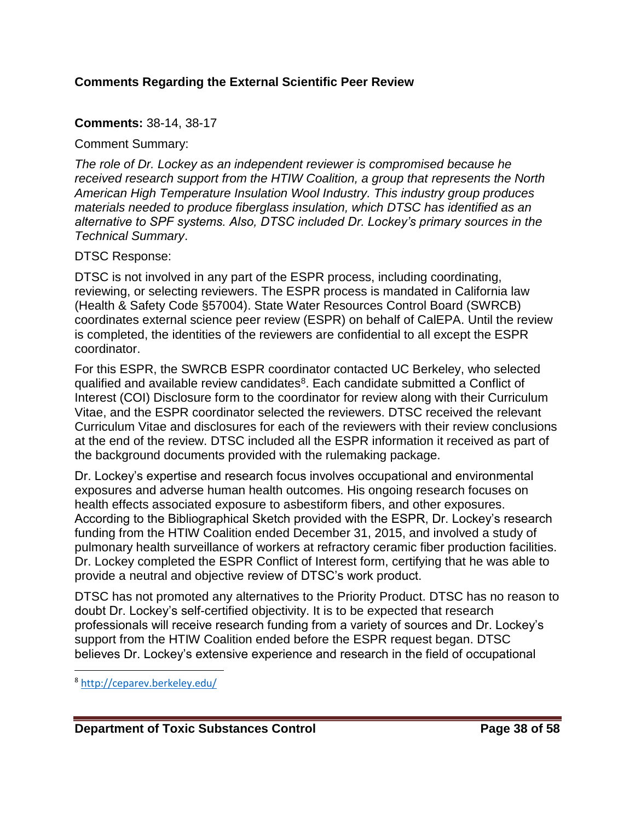### **Comments Regarding the External Scientific Peer Review**

### **Comments:** 38-14, 38-17

Comment Summary:

*The role of Dr. Lockey as an independent reviewer is compromised because he received research support from the HTIW Coalition, a group that represents the North American High Temperature Insulation Wool Industry. This industry group produces materials needed to produce fiberglass insulation, which DTSC has identified as an alternative to SPF systems. Also, DTSC included Dr. Lockey's primary sources in the Technical Summary*.

### DTSC Response:

DTSC is not involved in any part of the ESPR process, including coordinating, reviewing, or selecting reviewers. The ESPR process is mandated in California law (Health & Safety Code §57004). State Water Resources Control Board (SWRCB) coordinates external science peer review (ESPR) on behalf of CalEPA. Until the review is completed, the identities of the reviewers are confidential to all except the ESPR coordinator.

For this ESPR, the SWRCB ESPR coordinator contacted UC Berkeley, who selected qualified and available review candidates<sup>8</sup>. Each candidate submitted a Conflict of Interest (COI) Disclosure form to the coordinator for review along with their Curriculum Vitae, and the ESPR coordinator selected the reviewers. DTSC received the relevant Curriculum Vitae and disclosures for each of the reviewers with their review conclusions at the end of the review. DTSC included all the ESPR information it received as part of the background documents provided with the rulemaking package.

Dr. Lockey's expertise and research focus involves occupational and environmental exposures and adverse human health outcomes. His ongoing research focuses on health effects associated exposure to asbestiform fibers, and other exposures. According to the Bibliographical Sketch provided with the ESPR, Dr. Lockey's research funding from the HTIW Coalition ended December 31, 2015, and involved a study of pulmonary health surveillance of workers at refractory ceramic fiber production facilities. Dr. Lockey completed the ESPR Conflict of Interest form, certifying that he was able to provide a neutral and objective review of DTSC's work product.

DTSC has not promoted any alternatives to the Priority Product. DTSC has no reason to doubt Dr. Lockey's self-certified objectivity. It is to be expected that research professionals will receive research funding from a variety of sources and Dr. Lockey's support from the HTIW Coalition ended before the ESPR request began. DTSC believes Dr. Lockey's extensive experience and research in the field of occupational

<sup>8</sup> <http://ceparev.berkeley.edu/>

l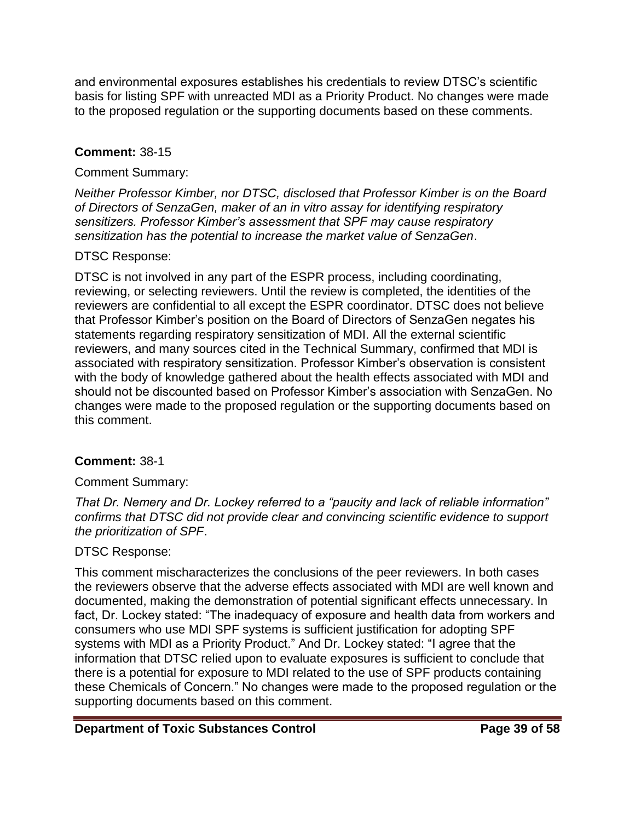and environmental exposures establishes his credentials to review DTSC's scientific basis for listing SPF with unreacted MDI as a Priority Product. No changes were made to the proposed regulation or the supporting documents based on these comments.

### **Comment:** 38-15

## Comment Summary:

*Neither Professor Kimber, nor DTSC, disclosed that Professor Kimber is on the Board of Directors of SenzaGen, maker of an in vitro assay for identifying respiratory sensitizers. Professor Kimber's assessment that SPF may cause respiratory sensitization has the potential to increase the market value of SenzaGen*.

### DTSC Response:

DTSC is not involved in any part of the ESPR process, including coordinating, reviewing, or selecting reviewers. Until the review is completed, the identities of the reviewers are confidential to all except the ESPR coordinator. DTSC does not believe that Professor Kimber's position on the Board of Directors of SenzaGen negates his statements regarding respiratory sensitization of MDI. All the external scientific reviewers, and many sources cited in the Technical Summary, confirmed that MDI is associated with respiratory sensitization. Professor Kimber's observation is consistent with the body of knowledge gathered about the health effects associated with MDI and should not be discounted based on Professor Kimber's association with SenzaGen. No changes were made to the proposed regulation or the supporting documents based on this comment.

# **Comment:** 38-1

# Comment Summary:

*That Dr. Nemery and Dr. Lockey referred to a "paucity and lack of reliable information" confirms that DTSC did not provide clear and convincing scientific evidence to support the prioritization of SPF*.

### DTSC Response:

This comment mischaracterizes the conclusions of the peer reviewers. In both cases the reviewers observe that the adverse effects associated with MDI are well known and documented, making the demonstration of potential significant effects unnecessary. In fact, Dr. Lockey stated: "The inadequacy of exposure and health data from workers and consumers who use MDI SPF systems is sufficient justification for adopting SPF systems with MDI as a Priority Product." And Dr. Lockey stated: "I agree that the information that DTSC relied upon to evaluate exposures is sufficient to conclude that there is a potential for exposure to MDI related to the use of SPF products containing these Chemicals of Concern." No changes were made to the proposed regulation or the supporting documents based on this comment.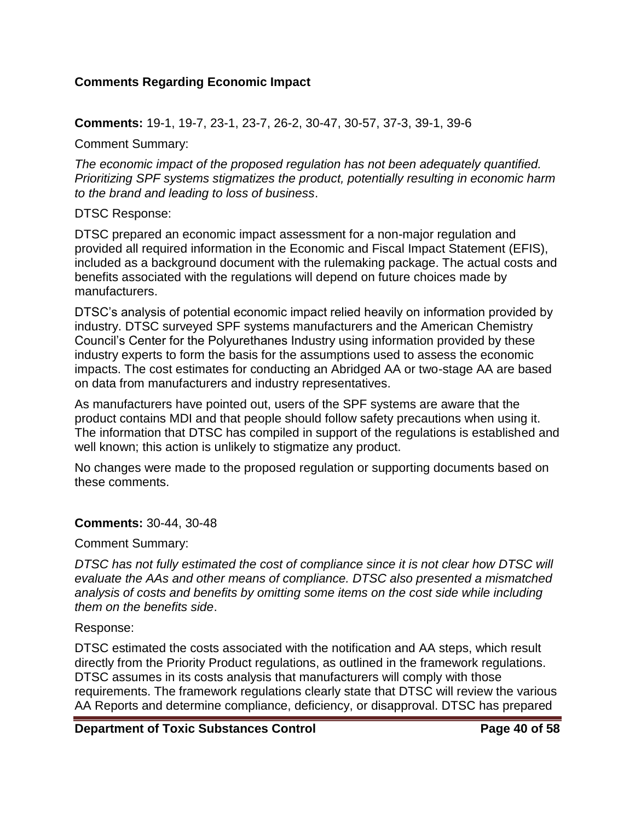### **Comments Regarding Economic Impact**

### **Comments:** 19-1, 19-7, 23-1, 23-7, 26-2, 30-47, 30-57, 37-3, 39-1, 39-6

Comment Summary:

*The economic impact of the proposed regulation has not been adequately quantified. Prioritizing SPF systems stigmatizes the product, potentially resulting in economic harm to the brand and leading to loss of business*.

#### DTSC Response:

DTSC prepared an economic impact assessment for a non-major regulation and provided all required information in the Economic and Fiscal Impact Statement (EFIS), included as a background document with the rulemaking package. The actual costs and benefits associated with the regulations will depend on future choices made by manufacturers.

DTSC's analysis of potential economic impact relied heavily on information provided by industry. DTSC surveyed SPF systems manufacturers and the American Chemistry Council's Center for the Polyurethanes Industry using information provided by these industry experts to form the basis for the assumptions used to assess the economic impacts. The cost estimates for conducting an Abridged AA or two-stage AA are based on data from manufacturers and industry representatives.

As manufacturers have pointed out, users of the SPF systems are aware that the product contains MDI and that people should follow safety precautions when using it. The information that DTSC has compiled in support of the regulations is established and well known; this action is unlikely to stigmatize any product.

No changes were made to the proposed regulation or supporting documents based on these comments.

### **Comments:** 30-44, 30-48

#### Comment Summary:

*DTSC has not fully estimated the cost of compliance since it is not clear how DTSC will evaluate the AAs and other means of compliance. DTSC also presented a mismatched analysis of costs and benefits by omitting some items on the cost side while including them on the benefits side*.

Response:

DTSC estimated the costs associated with the notification and AA steps, which result directly from the Priority Product regulations, as outlined in the framework regulations. DTSC assumes in its costs analysis that manufacturers will comply with those requirements. The framework regulations clearly state that DTSC will review the various AA Reports and determine compliance, deficiency, or disapproval. DTSC has prepared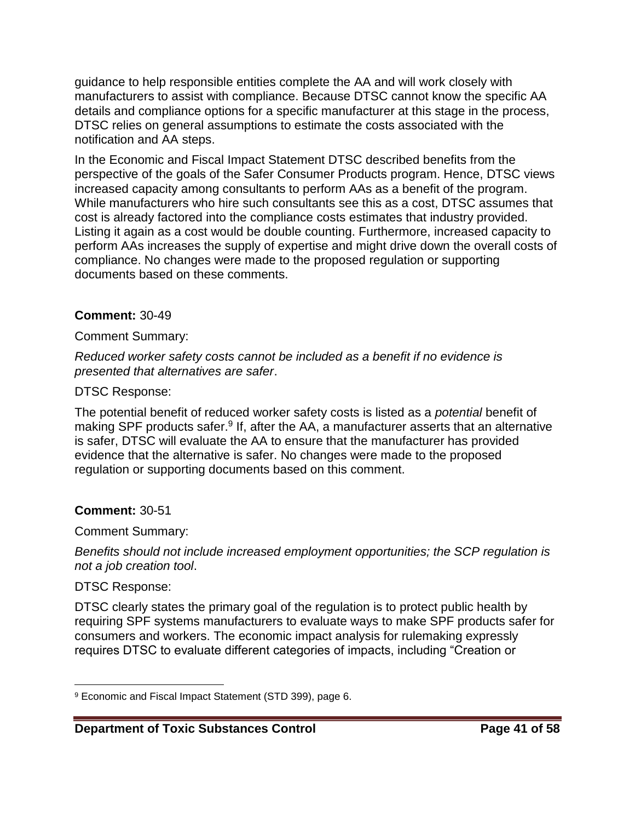guidance to help responsible entities complete the AA and will work closely with manufacturers to assist with compliance. Because DTSC cannot know the specific AA details and compliance options for a specific manufacturer at this stage in the process, DTSC relies on general assumptions to estimate the costs associated with the notification and AA steps.

In the Economic and Fiscal Impact Statement DTSC described benefits from the perspective of the goals of the Safer Consumer Products program. Hence, DTSC views increased capacity among consultants to perform AAs as a benefit of the program. While manufacturers who hire such consultants see this as a cost, DTSC assumes that cost is already factored into the compliance costs estimates that industry provided. Listing it again as a cost would be double counting. Furthermore, increased capacity to perform AAs increases the supply of expertise and might drive down the overall costs of compliance. No changes were made to the proposed regulation or supporting documents based on these comments.

### **Comment:** 30-49

#### Comment Summary:

*Reduced worker safety costs cannot be included as a benefit if no evidence is presented that alternatives are safer*.

### DTSC Response:

The potential benefit of reduced worker safety costs is listed as a *potential* benefit of making SPF products safer.<sup>9</sup> If, after the AA, a manufacturer asserts that an alternative is safer, DTSC will evaluate the AA to ensure that the manufacturer has provided evidence that the alternative is safer. No changes were made to the proposed regulation or supporting documents based on this comment.

### **Comment:** 30-51

Comment Summary:

*Benefits should not include increased employment opportunities; the SCP regulation is not a job creation tool*.

### DTSC Response:

DTSC clearly states the primary goal of the regulation is to protect public health by requiring SPF systems manufacturers to evaluate ways to make SPF products safer for consumers and workers. The economic impact analysis for rulemaking expressly requires DTSC to evaluate different categories of impacts, including "Creation or

l 9 Economic and Fiscal Impact Statement (STD 399), page 6.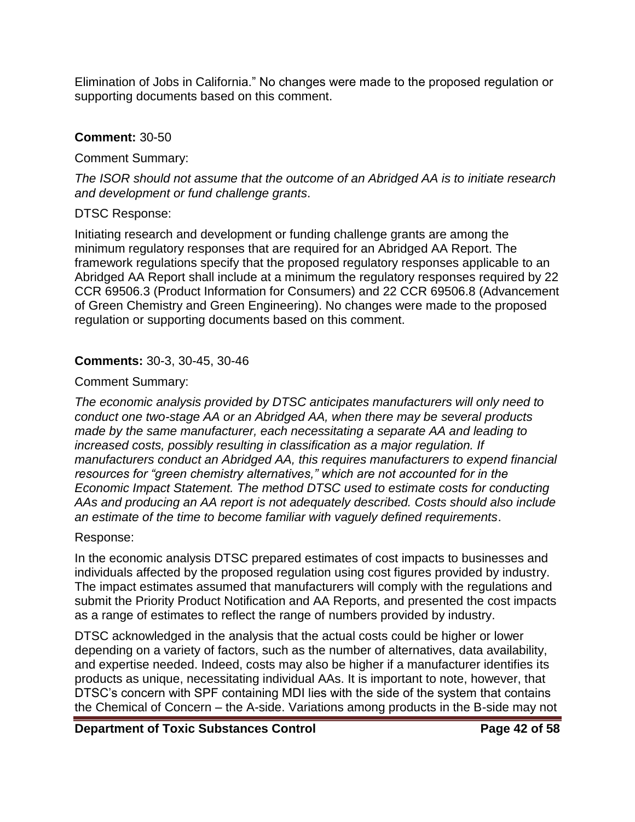Elimination of Jobs in California." No changes were made to the proposed regulation or supporting documents based on this comment.

### **Comment:** 30-50

Comment Summary:

*The ISOR should not assume that the outcome of an Abridged AA is to initiate research and development or fund challenge grants*.

# DTSC Response:

Initiating research and development or funding challenge grants are among the minimum regulatory responses that are required for an Abridged AA Report. The framework regulations specify that the proposed regulatory responses applicable to an Abridged AA Report shall include at a minimum the regulatory responses required by 22 CCR 69506.3 (Product Information for Consumers) and 22 CCR 69506.8 (Advancement of Green Chemistry and Green Engineering). No changes were made to the proposed regulation or supporting documents based on this comment.

# **Comments:** 30-3, 30-45, 30-46

# Comment Summary:

*The economic analysis provided by DTSC anticipates manufacturers will only need to conduct one two-stage AA or an Abridged AA, when there may be several products made by the same manufacturer, each necessitating a separate AA and leading to increased costs, possibly resulting in classification as a major regulation. If manufacturers conduct an Abridged AA, this requires manufacturers to expend financial resources for "green chemistry alternatives," which are not accounted for in the Economic Impact Statement. The method DTSC used to estimate costs for conducting AAs and producing an AA report is not adequately described. Costs should also include an estimate of the time to become familiar with vaguely defined requirements*.

# Response:

In the economic analysis DTSC prepared estimates of cost impacts to businesses and individuals affected by the proposed regulation using cost figures provided by industry. The impact estimates assumed that manufacturers will comply with the regulations and submit the Priority Product Notification and AA Reports, and presented the cost impacts as a range of estimates to reflect the range of numbers provided by industry.

DTSC acknowledged in the analysis that the actual costs could be higher or lower depending on a variety of factors, such as the number of alternatives, data availability, and expertise needed. Indeed, costs may also be higher if a manufacturer identifies its products as unique, necessitating individual AAs. It is important to note, however, that DTSC's concern with SPF containing MDI lies with the side of the system that contains the Chemical of Concern – the A-side. Variations among products in the B-side may not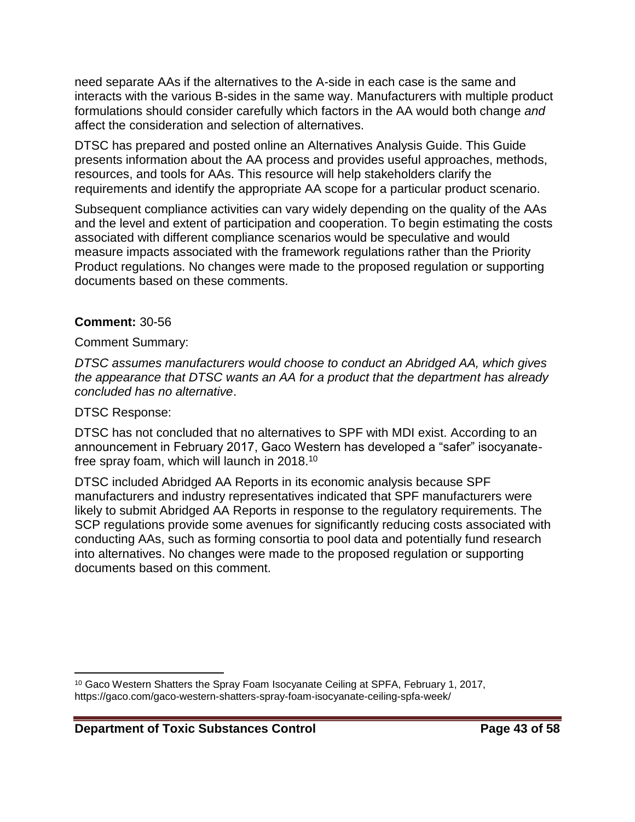need separate AAs if the alternatives to the A-side in each case is the same and interacts with the various B-sides in the same way. Manufacturers with multiple product formulations should consider carefully which factors in the AA would both change *and* affect the consideration and selection of alternatives.

DTSC has prepared and posted online an Alternatives Analysis Guide. This Guide presents information about the AA process and provides useful approaches, methods, resources, and tools for AAs. This resource will help stakeholders clarify the requirements and identify the appropriate AA scope for a particular product scenario.

Subsequent compliance activities can vary widely depending on the quality of the AAs and the level and extent of participation and cooperation. To begin estimating the costs associated with different compliance scenarios would be speculative and would measure impacts associated with the framework regulations rather than the Priority Product regulations. No changes were made to the proposed regulation or supporting documents based on these comments.

### **Comment:** 30-56

Comment Summary:

*DTSC assumes manufacturers would choose to conduct an Abridged AA, which gives the appearance that DTSC wants an AA for a product that the department has already concluded has no alternative*.

#### DTSC Response:

DTSC has not concluded that no alternatives to SPF with MDI exist. According to an announcement in February 2017, Gaco Western has developed a "safer" isocyanatefree spray foam, which will launch in 2018.<sup>10</sup>

DTSC included Abridged AA Reports in its economic analysis because SPF manufacturers and industry representatives indicated that SPF manufacturers were likely to submit Abridged AA Reports in response to the regulatory requirements. The SCP regulations provide some avenues for significantly reducing costs associated with conducting AAs, such as forming consortia to pool data and potentially fund research into alternatives. No changes were made to the proposed regulation or supporting documents based on this comment.

 $\overline{\phantom{a}}$ <sup>10</sup> Gaco Western Shatters the Spray Foam Isocyanate Ceiling at SPFA, February 1, 2017, https://gaco.com/gaco-western-shatters-spray-foam-isocyanate-ceiling-spfa-week/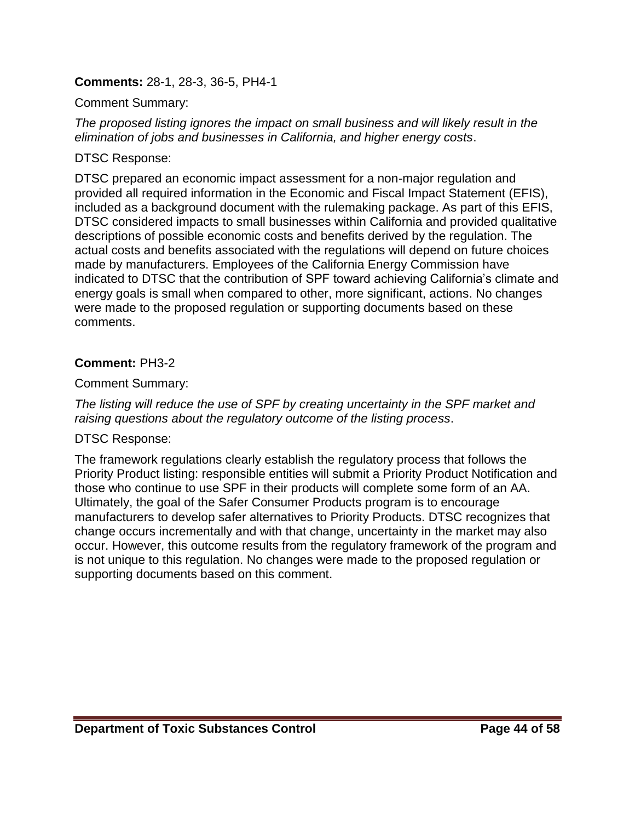### **Comments:** 28-1, 28-3, 36-5, PH4-1

Comment Summary:

*The proposed listing ignores the impact on small business and will likely result in the elimination of jobs and businesses in California, and higher energy costs*.

### DTSC Response:

DTSC prepared an economic impact assessment for a non-major regulation and provided all required information in the Economic and Fiscal Impact Statement (EFIS), included as a background document with the rulemaking package. As part of this EFIS, DTSC considered impacts to small businesses within California and provided qualitative descriptions of possible economic costs and benefits derived by the regulation. The actual costs and benefits associated with the regulations will depend on future choices made by manufacturers. Employees of the California Energy Commission have indicated to DTSC that the contribution of SPF toward achieving California's climate and energy goals is small when compared to other, more significant, actions. No changes were made to the proposed regulation or supporting documents based on these comments.

### **Comment:** PH3-2

Comment Summary:

*The listing will reduce the use of SPF by creating uncertainty in the SPF market and raising questions about the regulatory outcome of the listing process*.

### DTSC Response:

The framework regulations clearly establish the regulatory process that follows the Priority Product listing: responsible entities will submit a Priority Product Notification and those who continue to use SPF in their products will complete some form of an AA. Ultimately, the goal of the Safer Consumer Products program is to encourage manufacturers to develop safer alternatives to Priority Products. DTSC recognizes that change occurs incrementally and with that change, uncertainty in the market may also occur. However, this outcome results from the regulatory framework of the program and is not unique to this regulation. No changes were made to the proposed regulation or supporting documents based on this comment.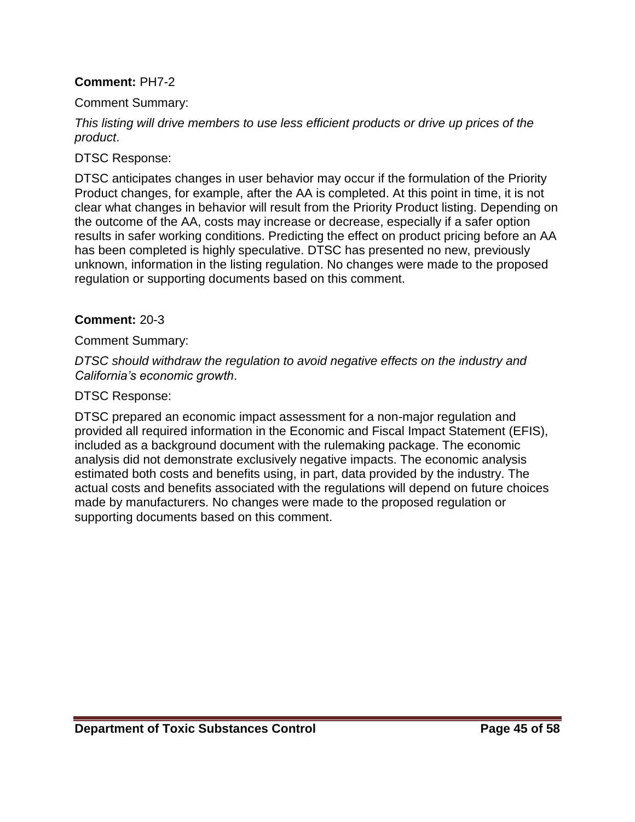### **Comment:** PH7-2

Comment Summary:

*This listing will drive members to use less efficient products or drive up prices of the product*.

DTSC Response:

DTSC anticipates changes in user behavior may occur if the formulation of the Priority Product changes, for example, after the AA is completed. At this point in time, it is not clear what changes in behavior will result from the Priority Product listing. Depending on the outcome of the AA, costs may increase or decrease, especially if a safer option results in safer working conditions. Predicting the effect on product pricing before an AA has been completed is highly speculative. DTSC has presented no new, previously unknown, information in the listing regulation. No changes were made to the proposed regulation or supporting documents based on this comment.

### **Comment:** 20-3

Comment Summary:

*DTSC should withdraw the regulation to avoid negative effects on the industry and California's economic growth*.

### DTSC Response:

DTSC prepared an economic impact assessment for a non-major regulation and provided all required information in the Economic and Fiscal Impact Statement (EFIS), included as a background document with the rulemaking package. The economic analysis did not demonstrate exclusively negative impacts. The economic analysis estimated both costs and benefits using, in part, data provided by the industry. The actual costs and benefits associated with the regulations will depend on future choices made by manufacturers. No changes were made to the proposed regulation or supporting documents based on this comment.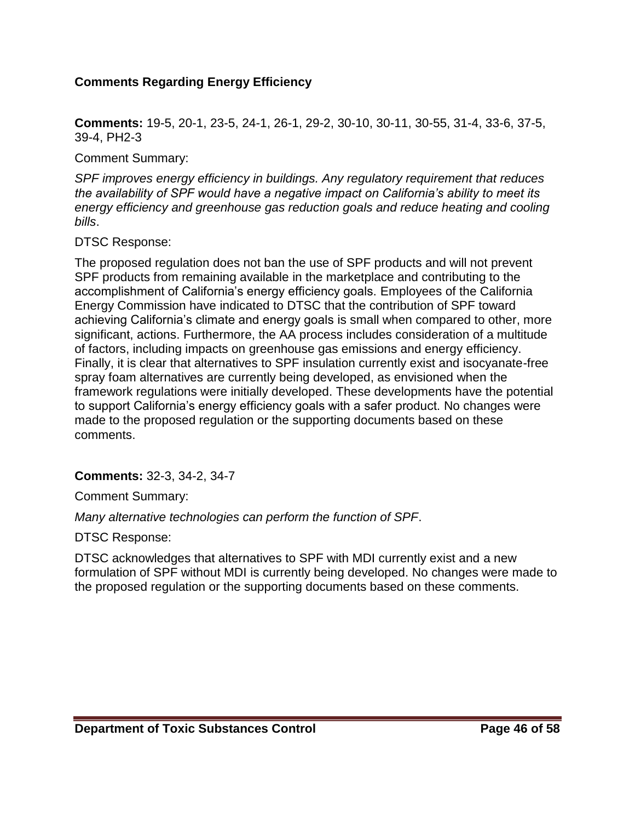## **Comments Regarding Energy Efficiency**

**Comments:** 19-5, 20-1, 23-5, 24-1, 26-1, 29-2, 30-10, 30-11, 30-55, 31-4, 33-6, 37-5, 39-4, PH2-3

Comment Summary:

*SPF improves energy efficiency in buildings. Any regulatory requirement that reduces the availability of SPF would have a negative impact on California's ability to meet its energy efficiency and greenhouse gas reduction goals and reduce heating and cooling bills*.

### DTSC Response:

The proposed regulation does not ban the use of SPF products and will not prevent SPF products from remaining available in the marketplace and contributing to the accomplishment of California's energy efficiency goals. Employees of the California Energy Commission have indicated to DTSC that the contribution of SPF toward achieving California's climate and energy goals is small when compared to other, more significant, actions. Furthermore, the AA process includes consideration of a multitude of factors, including impacts on greenhouse gas emissions and energy efficiency. Finally, it is clear that alternatives to SPF insulation currently exist and isocyanate-free spray foam alternatives are currently being developed, as envisioned when the framework regulations were initially developed. These developments have the potential to support California's energy efficiency goals with a safer product. No changes were made to the proposed regulation or the supporting documents based on these comments.

### **Comments:** 32-3, 34-2, 34-7

Comment Summary:

*Many alternative technologies can perform the function of SPF*.

DTSC Response:

DTSC acknowledges that alternatives to SPF with MDI currently exist and a new formulation of SPF without MDI is currently being developed. No changes were made to the proposed regulation or the supporting documents based on these comments.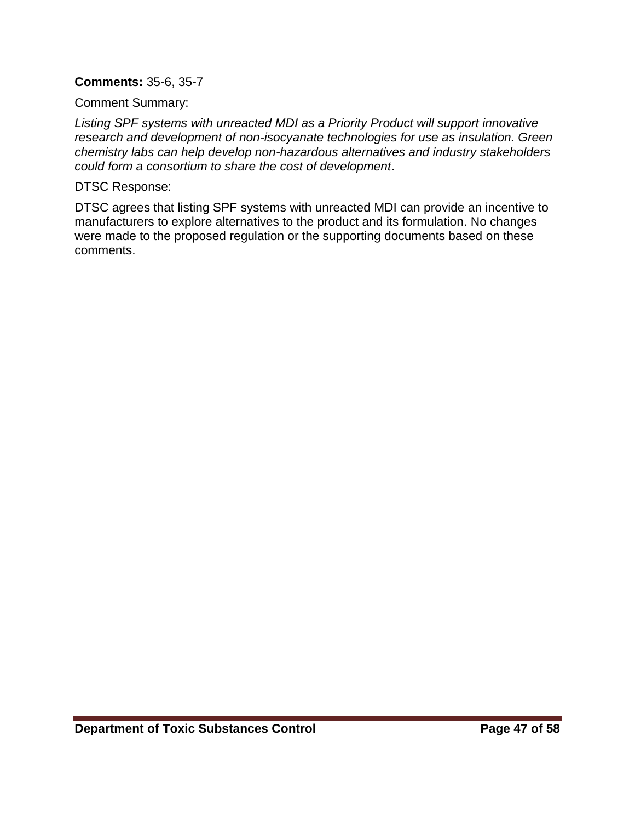### **Comments:** 35-6, 35-7

Comment Summary:

*Listing SPF systems with unreacted MDI as a Priority Product will support innovative research and development of non-isocyanate technologies for use as insulation. Green chemistry labs can help develop non-hazardous alternatives and industry stakeholders could form a consortium to share the cost of development*.

#### DTSC Response:

DTSC agrees that listing SPF systems with unreacted MDI can provide an incentive to manufacturers to explore alternatives to the product and its formulation. No changes were made to the proposed regulation or the supporting documents based on these comments.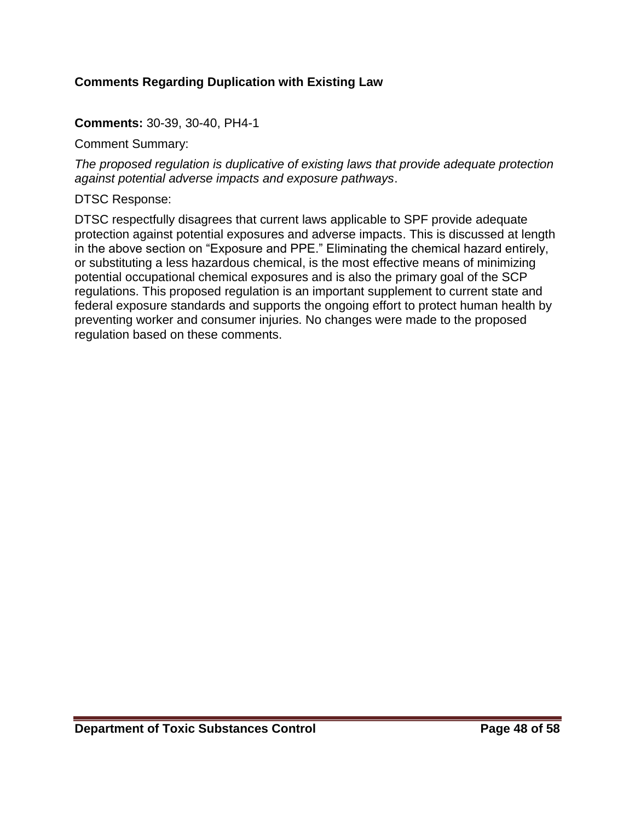# **Comments Regarding Duplication with Existing Law**

### **Comments:** 30-39, 30-40, PH4-1

Comment Summary:

*The proposed regulation is duplicative of existing laws that provide adequate protection against potential adverse impacts and exposure pathways*.

#### DTSC Response:

DTSC respectfully disagrees that current laws applicable to SPF provide adequate protection against potential exposures and adverse impacts. This is discussed at length in the above section on "Exposure and PPE." Eliminating the chemical hazard entirely, or substituting a less hazardous chemical, is the most effective means of minimizing potential occupational chemical exposures and is also the primary goal of the SCP regulations. This proposed regulation is an important supplement to current state and federal exposure standards and supports the ongoing effort to protect human health by preventing worker and consumer injuries. No changes were made to the proposed regulation based on these comments.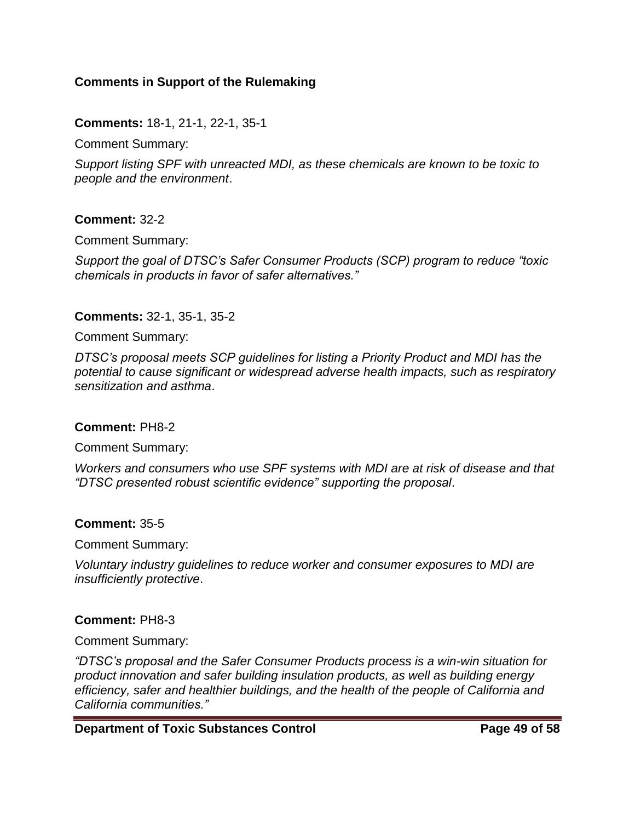### **Comments in Support of the Rulemaking**

### **Comments:** 18-1, 21-1, 22-1, 35-1

Comment Summary:

*Support listing SPF with unreacted MDI, as these chemicals are known to be toxic to people and the environment*.

#### **Comment:** 32-2

Comment Summary:

*Support the goal of DTSC's Safer Consumer Products (SCP) program to reduce "toxic chemicals in products in favor of safer alternatives."* 

#### **Comments:** 32-1, 35-1, 35-2

Comment Summary:

*DTSC's proposal meets SCP guidelines for listing a Priority Product and MDI has the potential to cause significant or widespread adverse health impacts, such as respiratory sensitization and asthma*.

#### **Comment:** PH8-2

Comment Summary:

*Workers and consumers who use SPF systems with MDI are at risk of disease and that "DTSC presented robust scientific evidence" supporting the proposal*.

#### **Comment:** 35-5

Comment Summary:

*Voluntary industry guidelines to reduce worker and consumer exposures to MDI are insufficiently protective*.

#### **Comment:** PH8-3

Comment Summary:

*"DTSC's proposal and the Safer Consumer Products process is a win-win situation for product innovation and safer building insulation products, as well as building energy efficiency, safer and healthier buildings, and the health of the people of California and California communities."*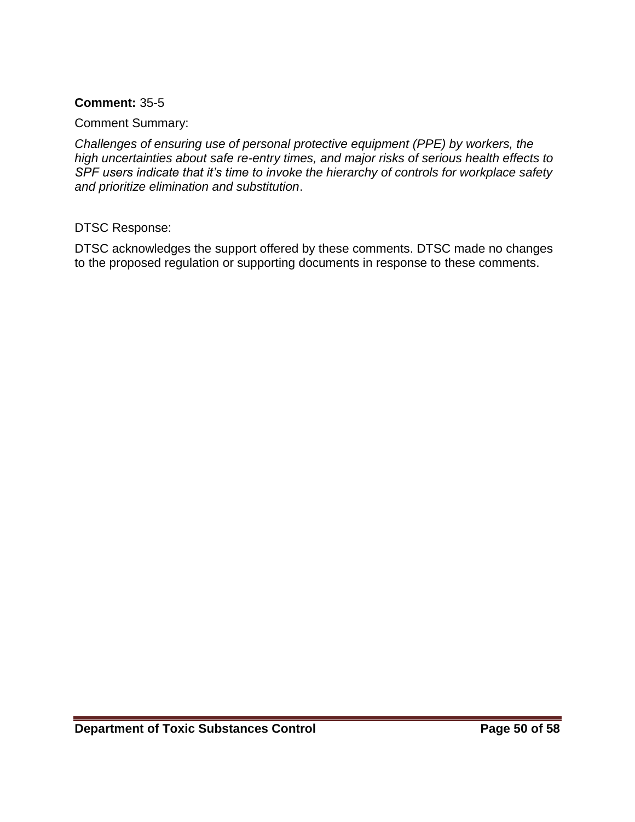## **Comment:** 35-5

Comment Summary:

*Challenges of ensuring use of personal protective equipment (PPE) by workers, the high uncertainties about safe re-entry times, and major risks of serious health effects to SPF users indicate that it's time to invoke the hierarchy of controls for workplace safety and prioritize elimination and substitution*.

DTSC Response:

DTSC acknowledges the support offered by these comments. DTSC made no changes to the proposed regulation or supporting documents in response to these comments.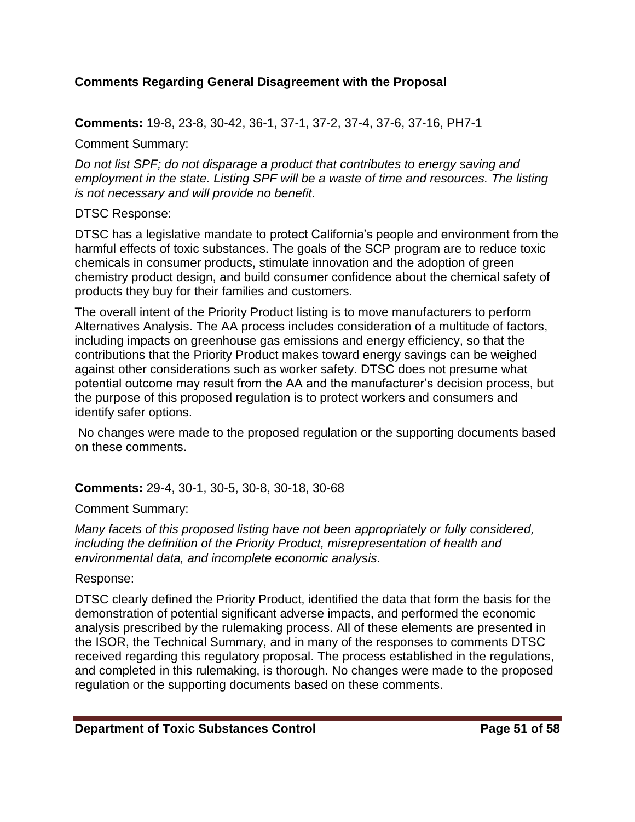## **Comments Regarding General Disagreement with the Proposal**

### **Comments:** 19-8, 23-8, 30-42, 36-1, 37-1, 37-2, 37-4, 37-6, 37-16, PH7-1

Comment Summary:

*Do not list SPF; do not disparage a product that contributes to energy saving and employment in the state. Listing SPF will be a waste of time and resources. The listing is not necessary and will provide no benefit*.

### DTSC Response:

DTSC has a legislative mandate to protect California's people and environment from the harmful effects of toxic substances. The goals of the SCP program are to reduce toxic chemicals in consumer products, stimulate innovation and the adoption of green chemistry product design, and build consumer confidence about the chemical safety of products they buy for their families and customers.

The overall intent of the Priority Product listing is to move manufacturers to perform Alternatives Analysis. The AA process includes consideration of a multitude of factors, including impacts on greenhouse gas emissions and energy efficiency, so that the contributions that the Priority Product makes toward energy savings can be weighed against other considerations such as worker safety. DTSC does not presume what potential outcome may result from the AA and the manufacturer's decision process, but the purpose of this proposed regulation is to protect workers and consumers and identify safer options.

No changes were made to the proposed regulation or the supporting documents based on these comments.

# **Comments:** 29-4, 30-1, 30-5, 30-8, 30-18, 30-68

### Comment Summary:

*Many facets of this proposed listing have not been appropriately or fully considered, including the definition of the Priority Product, misrepresentation of health and environmental data, and incomplete economic analysis*.

#### Response:

DTSC clearly defined the Priority Product, identified the data that form the basis for the demonstration of potential significant adverse impacts, and performed the economic analysis prescribed by the rulemaking process. All of these elements are presented in the ISOR, the Technical Summary, and in many of the responses to comments DTSC received regarding this regulatory proposal. The process established in the regulations, and completed in this rulemaking, is thorough. No changes were made to the proposed regulation or the supporting documents based on these comments.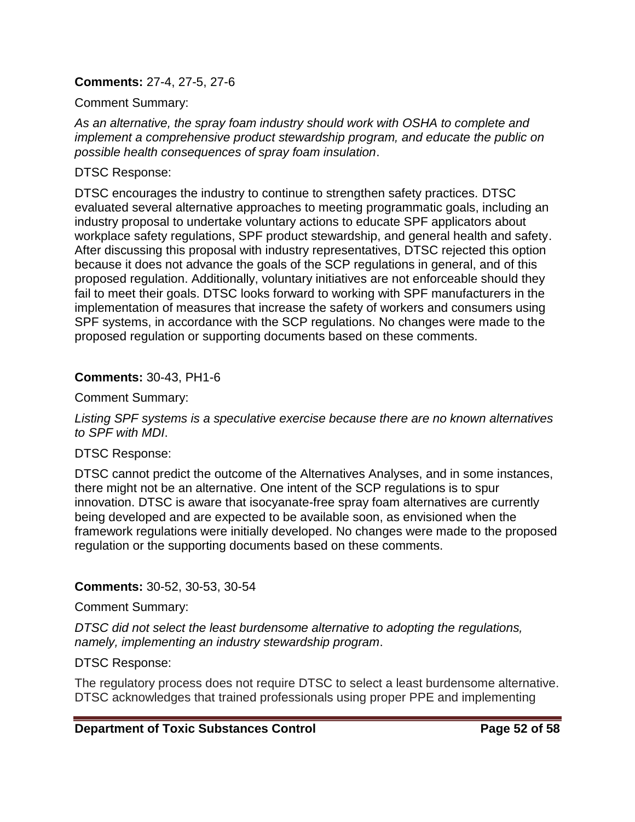### **Comments:** 27-4, 27-5, 27-6

#### Comment Summary:

*As an alternative, the spray foam industry should work with OSHA to complete and implement a comprehensive product stewardship program, and educate the public on possible health consequences of spray foam insulation*.

#### DTSC Response:

DTSC encourages the industry to continue to strengthen safety practices. DTSC evaluated several alternative approaches to meeting programmatic goals, including an industry proposal to undertake voluntary actions to educate SPF applicators about workplace safety regulations, SPF product stewardship, and general health and safety. After discussing this proposal with industry representatives, DTSC rejected this option because it does not advance the goals of the SCP regulations in general, and of this proposed regulation. Additionally, voluntary initiatives are not enforceable should they fail to meet their goals. DTSC looks forward to working with SPF manufacturers in the implementation of measures that increase the safety of workers and consumers using SPF systems, in accordance with the SCP regulations. No changes were made to the proposed regulation or supporting documents based on these comments.

#### **Comments:** 30-43, PH1-6

Comment Summary:

*Listing SPF systems is a speculative exercise because there are no known alternatives to SPF with MDI*.

#### DTSC Response:

DTSC cannot predict the outcome of the Alternatives Analyses, and in some instances, there might not be an alternative. One intent of the SCP regulations is to spur innovation. DTSC is aware that isocyanate-free spray foam alternatives are currently being developed and are expected to be available soon, as envisioned when the framework regulations were initially developed. No changes were made to the proposed regulation or the supporting documents based on these comments.

#### **Comments:** 30-52, 30-53, 30-54

Comment Summary:

*DTSC did not select the least burdensome alternative to adopting the regulations, namely, implementing an industry stewardship program*.

#### DTSC Response:

The regulatory process does not require DTSC to select a least burdensome alternative. DTSC acknowledges that trained professionals using proper PPE and implementing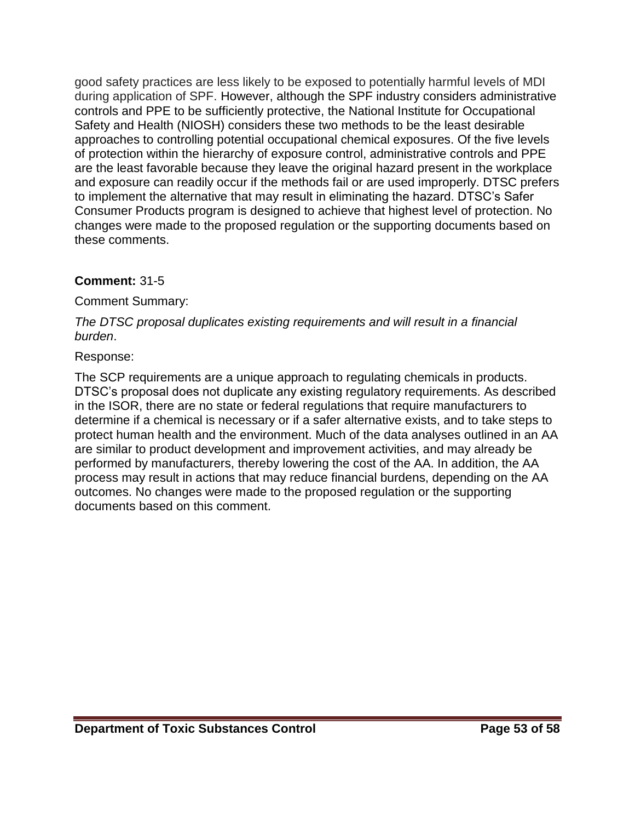good safety practices are less likely to be exposed to potentially harmful levels of MDI during application of SPF. However, although the SPF industry considers administrative controls and PPE to be sufficiently protective, the National Institute for Occupational Safety and Health (NIOSH) considers these two methods to be the least desirable approaches to controlling potential occupational chemical exposures. Of the five levels of protection within the hierarchy of exposure control, administrative controls and PPE are the least favorable because they leave the original hazard present in the workplace and exposure can readily occur if the methods fail or are used improperly. DTSC prefers to implement the alternative that may result in eliminating the hazard. DTSC's Safer Consumer Products program is designed to achieve that highest level of protection. No changes were made to the proposed regulation or the supporting documents based on these comments.

## **Comment:** 31-5

Comment Summary:

*The DTSC proposal duplicates existing requirements and will result in a financial burden*.

### Response:

The SCP requirements are a unique approach to regulating chemicals in products. DTSC's proposal does not duplicate any existing regulatory requirements. As described in the ISOR, there are no state or federal regulations that require manufacturers to determine if a chemical is necessary or if a safer alternative exists, and to take steps to protect human health and the environment. Much of the data analyses outlined in an AA are similar to product development and improvement activities, and may already be performed by manufacturers, thereby lowering the cost of the AA. In addition, the AA process may result in actions that may reduce financial burdens, depending on the AA outcomes. No changes were made to the proposed regulation or the supporting documents based on this comment.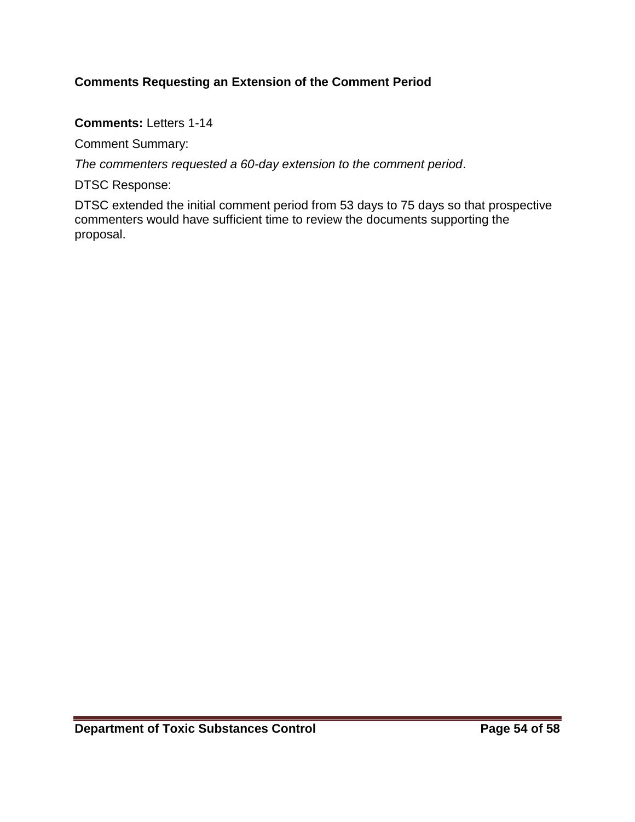# **Comments Requesting an Extension of the Comment Period**

### **Comments:** Letters 1-14

Comment Summary:

*The commenters requested a 60-day extension to the comment period*.

DTSC Response:

DTSC extended the initial comment period from 53 days to 75 days so that prospective commenters would have sufficient time to review the documents supporting the proposal.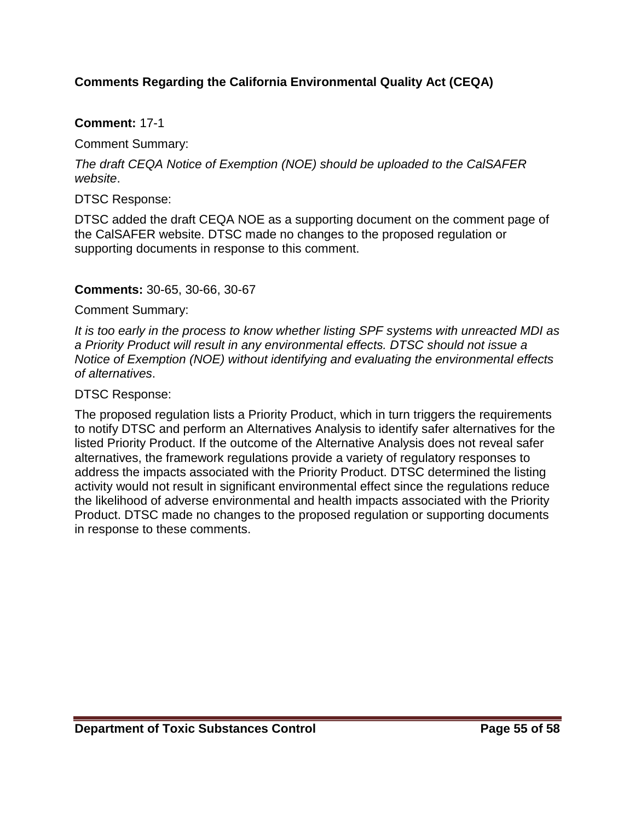# **Comments Regarding the California Environmental Quality Act (CEQA)**

### **Comment:** 17-1

Comment Summary:

*The draft CEQA Notice of Exemption (NOE) should be uploaded to the CalSAFER website*.

DTSC Response:

DTSC added the draft CEQA NOE as a supporting document on the comment page of the CalSAFER website. DTSC made no changes to the proposed regulation or supporting documents in response to this comment.

### **Comments:** 30-65, 30-66, 30-67

Comment Summary:

*It is too early in the process to know whether listing SPF systems with unreacted MDI as a Priority Product will result in any environmental effects. DTSC should not issue a Notice of Exemption (NOE) without identifying and evaluating the environmental effects of alternatives*.

#### DTSC Response:

The proposed regulation lists a Priority Product, which in turn triggers the requirements to notify DTSC and perform an Alternatives Analysis to identify safer alternatives for the listed Priority Product. If the outcome of the Alternative Analysis does not reveal safer alternatives, the framework regulations provide a variety of regulatory responses to address the impacts associated with the Priority Product. DTSC determined the listing activity would not result in significant environmental effect since the regulations reduce the likelihood of adverse environmental and health impacts associated with the Priority Product. DTSC made no changes to the proposed regulation or supporting documents in response to these comments.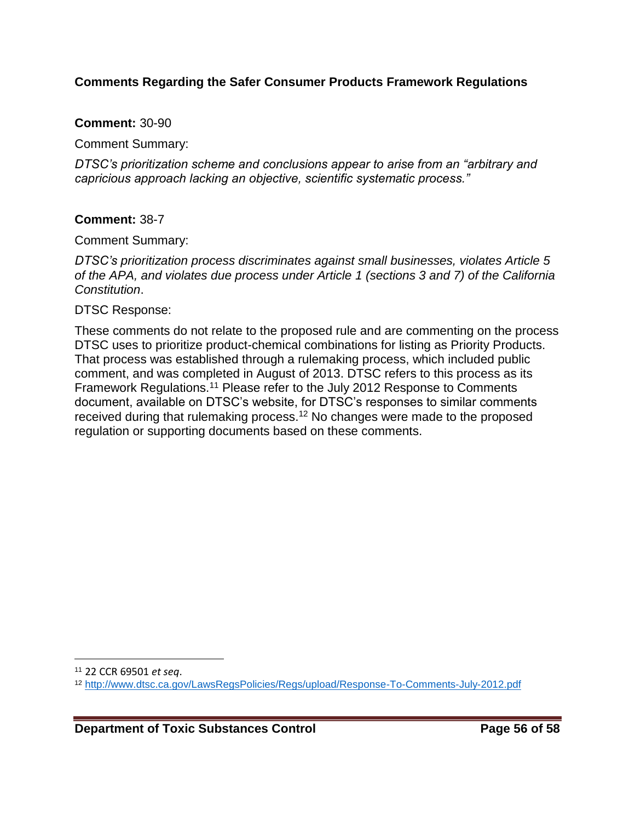### **Comments Regarding the Safer Consumer Products Framework Regulations**

#### **Comment:** 30-90

Comment Summary:

*DTSC's prioritization scheme and conclusions appear to arise from an "arbitrary and capricious approach lacking an objective, scientific systematic process."* 

### **Comment:** 38-7

Comment Summary:

*DTSC's prioritization process discriminates against small businesses, violates Article 5 of the APA, and violates due process under Article 1 (sections 3 and 7) of the California Constitution*.

DTSC Response:

These comments do not relate to the proposed rule and are commenting on the process DTSC uses to prioritize product-chemical combinations for listing as Priority Products. That process was established through a rulemaking process, which included public comment, and was completed in August of 2013. DTSC refers to this process as its Framework Regulations.<sup>11</sup> Please refer to the July 2012 Response to Comments document, available on DTSC's website, for DTSC's responses to similar comments received during that rulemaking process.<sup>12</sup> No changes were made to the proposed regulation or supporting documents based on these comments.

 $\overline{\phantom{a}}$ 

**Department of Toxic Substances Control Page 56 Page 56 of 58** 

<sup>11</sup> 22 CCR 69501 *et seq*.

<sup>12</sup> <http://www.dtsc.ca.gov/LawsRegsPolicies/Regs/upload/Response-To-Comments-July-2012.pdf>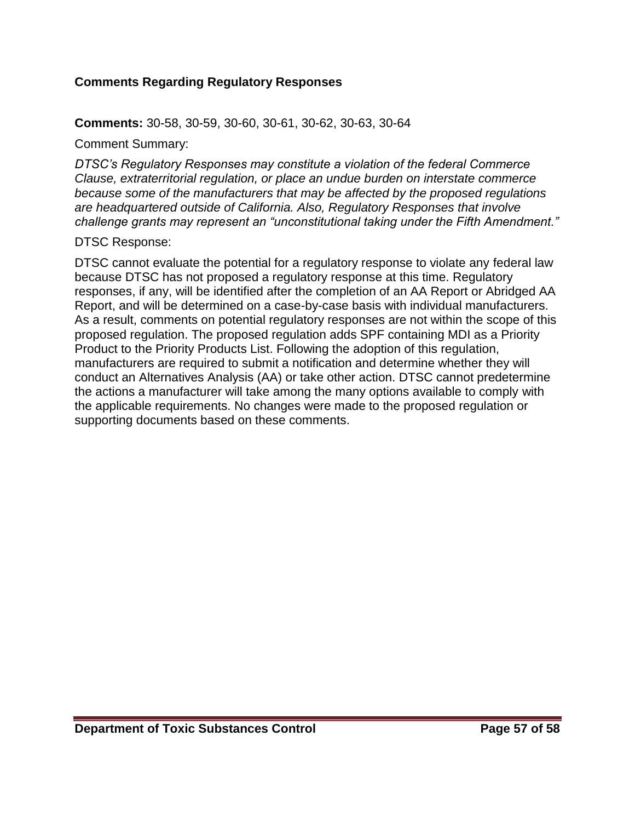## **Comments Regarding Regulatory Responses**

**Comments:** 30-58, 30-59, 30-60, 30-61, 30-62, 30-63, 30-64

Comment Summary:

*DTSC's Regulatory Responses may constitute a violation of the federal Commerce Clause, extraterritorial regulation, or place an undue burden on interstate commerce because some of the manufacturers that may be affected by the proposed regulations are headquartered outside of California. Also, Regulatory Responses that involve challenge grants may represent an "unconstitutional taking under the Fifth Amendment."* 

#### DTSC Response:

DTSC cannot evaluate the potential for a regulatory response to violate any federal law because DTSC has not proposed a regulatory response at this time. Regulatory responses, if any, will be identified after the completion of an AA Report or Abridged AA Report, and will be determined on a case-by-case basis with individual manufacturers. As a result, comments on potential regulatory responses are not within the scope of this proposed regulation. The proposed regulation adds SPF containing MDI as a Priority Product to the Priority Products List. Following the adoption of this regulation, manufacturers are required to submit a notification and determine whether they will conduct an Alternatives Analysis (AA) or take other action. DTSC cannot predetermine the actions a manufacturer will take among the many options available to comply with the applicable requirements. No changes were made to the proposed regulation or supporting documents based on these comments.